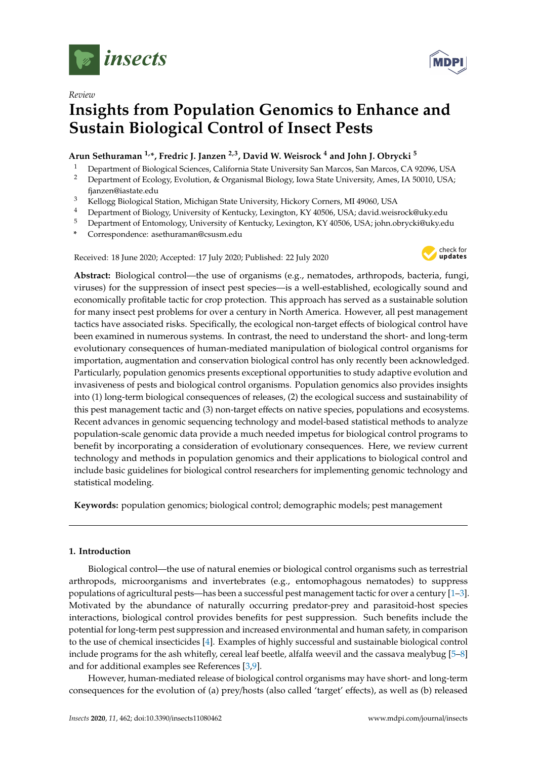

*Review*

# **Insights from Population Genomics to Enhance and Sustain Biological Control of Insect Pests**

# **Arun Sethuraman 1,\*, Fredric J. Janzen 2,3, David W. Weisrock <sup>4</sup> and John J. Obrycki <sup>5</sup>**

- <sup>1</sup> Department of Biological Sciences, California State University San Marcos, San Marcos, CA 92096, USA
- <sup>2</sup> Department of Ecology, Evolution, & Organismal Biology, Iowa State University, Ames, IA 50010, USA; fjanzen@iastate.edu
- <sup>3</sup> Kellogg Biological Station, Michigan State University, Hickory Corners, MI 49060, USA
- <sup>4</sup> Department of Biology, University of Kentucky, Lexington, KY 40506, USA; david.weisrock@uky.edu
- <sup>5</sup> Department of Entomology, University of Kentucky, Lexington, KY 40506, USA; john.obrycki@uky.edu
- **\*** Correspondence: asethuraman@csusm.edu

Received: 18 June 2020; Accepted: 17 July 2020; Published: 22 July 2020



**Abstract:** Biological control—the use of organisms (e.g., nematodes, arthropods, bacteria, fungi, viruses) for the suppression of insect pest species—is a well-established, ecologically sound and economically profitable tactic for crop protection. This approach has served as a sustainable solution for many insect pest problems for over a century in North America. However, all pest management tactics have associated risks. Specifically, the ecological non-target effects of biological control have been examined in numerous systems. In contrast, the need to understand the short- and long-term evolutionary consequences of human-mediated manipulation of biological control organisms for importation, augmentation and conservation biological control has only recently been acknowledged. Particularly, population genomics presents exceptional opportunities to study adaptive evolution and invasiveness of pests and biological control organisms. Population genomics also provides insights into (1) long-term biological consequences of releases, (2) the ecological success and sustainability of this pest management tactic and (3) non-target effects on native species, populations and ecosystems. Recent advances in genomic sequencing technology and model-based statistical methods to analyze population-scale genomic data provide a much needed impetus for biological control programs to benefit by incorporating a consideration of evolutionary consequences. Here, we review current technology and methods in population genomics and their applications to biological control and include basic guidelines for biological control researchers for implementing genomic technology and statistical modeling.

**Keywords:** population genomics; biological control; demographic models; pest management

# **1. Introduction**

Biological control—the use of natural enemies or biological control organisms such as terrestrial arthropods, microorganisms and invertebrates (e.g., entomophagous nematodes) to suppress populations of agricultural pests—has been a successful pest management tactic for over a century [\[1–](#page-13-0)[3\]](#page-13-1). Motivated by the abundance of naturally occurring predator-prey and parasitoid-host species interactions, biological control provides benefits for pest suppression. Such benefits include the potential for long-term pest suppression and increased environmental and human safety, in comparison to the use of chemical insecticides [\[4\]](#page-13-2). Examples of highly successful and sustainable biological control include programs for the ash whitefly, cereal leaf beetle, alfalfa weevil and the cassava mealybug [\[5–](#page-13-3)[8\]](#page-13-4) and for additional examples see References [\[3](#page-13-1)[,9\]](#page-13-5).

However, human-mediated release of biological control organisms may have short- and long-term consequences for the evolution of (a) prey/hosts (also called 'target' effects), as well as (b) released

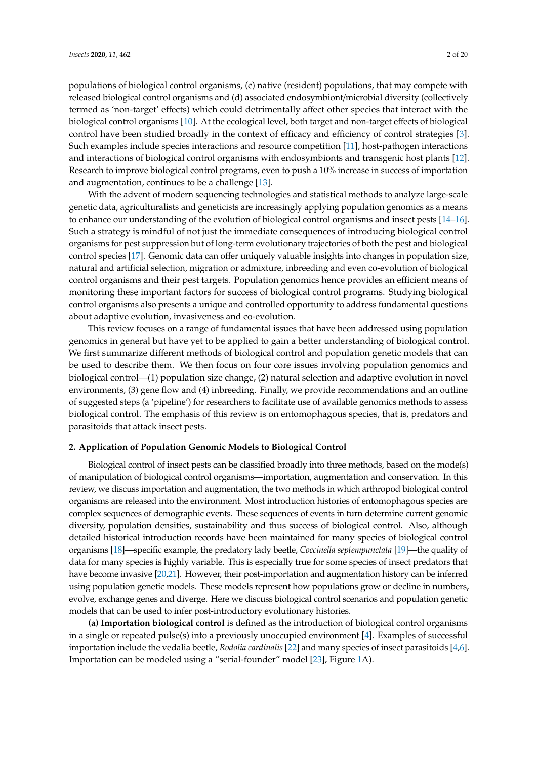populations of biological control organisms, (c) native (resident) populations, that may compete with released biological control organisms and (d) associated endosymbiont/microbial diversity (collectively termed as 'non-target' effects) which could detrimentally affect other species that interact with the biological control organisms [\[10\]](#page-13-6). At the ecological level, both target and non-target effects of biological control have been studied broadly in the context of efficacy and efficiency of control strategies [\[3\]](#page-13-1). Such examples include species interactions and resource competition [\[11\]](#page-13-7), host-pathogen interactions and interactions of biological control organisms with endosymbionts and transgenic host plants [\[12\]](#page-13-8). Research to improve biological control programs, even to push a 10% increase in success of importation and augmentation, continues to be a challenge [\[13\]](#page-13-9).

With the advent of modern sequencing technologies and statistical methods to analyze large-scale genetic data, agriculturalists and geneticists are increasingly applying population genomics as a means to enhance our understanding of the evolution of biological control organisms and insect pests [\[14–](#page-13-10)[16\]](#page-14-0). Such a strategy is mindful of not just the immediate consequences of introducing biological control organisms for pest suppression but of long-term evolutionary trajectories of both the pest and biological control species [\[17\]](#page-14-1). Genomic data can offer uniquely valuable insights into changes in population size, natural and artificial selection, migration or admixture, inbreeding and even co-evolution of biological control organisms and their pest targets. Population genomics hence provides an efficient means of monitoring these important factors for success of biological control programs. Studying biological control organisms also presents a unique and controlled opportunity to address fundamental questions about adaptive evolution, invasiveness and co-evolution.

This review focuses on a range of fundamental issues that have been addressed using population genomics in general but have yet to be applied to gain a better understanding of biological control. We first summarize different methods of biological control and population genetic models that can be used to describe them. We then focus on four core issues involving population genomics and biological control—(1) population size change, (2) natural selection and adaptive evolution in novel environments, (3) gene flow and (4) inbreeding. Finally, we provide recommendations and an outline of suggested steps (a 'pipeline') for researchers to facilitate use of available genomics methods to assess biological control. The emphasis of this review is on entomophagous species, that is, predators and parasitoids that attack insect pests.

## **2. Application of Population Genomic Models to Biological Control**

Biological control of insect pests can be classified broadly into three methods, based on the mode(s) of manipulation of biological control organisms—importation, augmentation and conservation. In this review, we discuss importation and augmentation, the two methods in which arthropod biological control organisms are released into the environment. Most introduction histories of entomophagous species are complex sequences of demographic events. These sequences of events in turn determine current genomic diversity, population densities, sustainability and thus success of biological control. Also, although detailed historical introduction records have been maintained for many species of biological control organisms [\[18\]](#page-14-2)—specific example, the predatory lady beetle, *Coccinella septempunctata* [\[19\]](#page-14-3)—the quality of data for many species is highly variable. This is especially true for some species of insect predators that have become invasive [\[20,](#page-14-4)[21\]](#page-14-5). However, their post-importation and augmentation history can be inferred using population genetic models. These models represent how populations grow or decline in numbers, evolve, exchange genes and diverge. Here we discuss biological control scenarios and population genetic models that can be used to infer post-introductory evolutionary histories.

**(a) Importation biological control** is defined as the introduction of biological control organisms in a single or repeated pulse(s) into a previously unoccupied environment [\[4\]](#page-13-2). Examples of successful importation include the vedalia beetle, *Rodolia cardinalis* [\[22\]](#page-14-6) and many species of insect parasitoids [\[4](#page-13-2)[,6\]](#page-13-11). Importation can be modeled using a "serial-founder" model [\[23\]](#page-14-7), Figure [1A](#page-2-0)).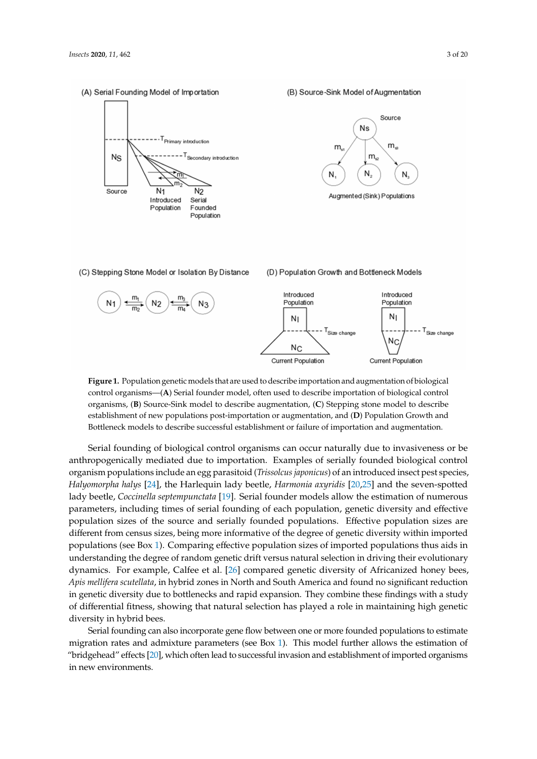<span id="page-2-0"></span>(A) Serial Founding Model of Importation



#### (B) Source-Sink Model of Augmentation



(C) Stepping Stone Model or Isolation By Distance



(D) Population Growth and Bottleneck Models



**Figure 1.** Population genetic models that are used to describe importation and augmentation of biological control organisms—(**A**) Serial founder model, often used to describe importation of biological control organisms, (**B**) Source-Sink model to describe augmentation, (**C**) Stepping stone model to describe establishment of new populations post-importation or augmentation, and (**D**) Population Growth and Bottleneck models to describe successful establishment or failure of importation and augmentation.

Serial founding of biological control organisms can occur naturally due to invasiveness or be anthropogenically mediated due to importation. Examples of serially founded biological control organism populations include an egg parasitoid (*Trissolcus japonicus*) of an introduced insect pest species, *Halyomorpha halys* [\[24\]](#page-14-8), the Harlequin lady beetle, *Harmonia axyridis* [\[20](#page-14-4)[,25\]](#page-14-9) and the seven-spotted lady beetle, *Coccinella septempunctata* [\[19\]](#page-14-3). Serial founder models allow the estimation of numerous parameters, including times of serial founding of each population, genetic diversity and effective population sizes of the source and serially founded populations. Effective population sizes are different from census sizes, being more informative of the degree of genetic diversity within imported populations (see Box [1\)](#page-3-0). Comparing effective population sizes of imported populations thus aids in understanding the degree of random genetic drift versus natural selection in driving their evolutionary dynamics. For example, Calfee et al. [\[26\]](#page-14-10) compared genetic diversity of Africanized honey bees, *Apis mellifera scutellata*, in hybrid zones in North and South America and found no significant reduction in genetic diversity due to bottlenecks and rapid expansion. They combine these findings with a study of differential fitness, showing that natural selection has played a role in maintaining high genetic diversity in hybrid bees.

Serial founding can also incorporate gene flow between one or more founded populations to estimate migration rates and admixture parameters (see Box [1\)](#page-3-0). This model further allows the estimation of "bridgehead" effects [\[20\]](#page-14-4), which often lead to successful invasion and establishment of imported organisms in new environments.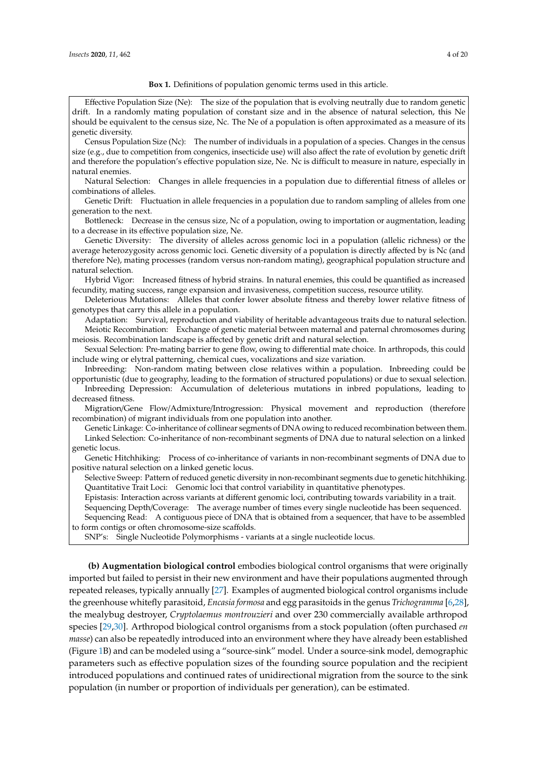#### **Box 1.** Definitions of population genomic terms used in this article.

<span id="page-3-0"></span>Effective Population Size (Ne): The size of the population that is evolving neutrally due to random genetic drift. In a randomly mating population of constant size and in the absence of natural selection, this Ne should be equivalent to the census size, Nc. The Ne of a population is often approximated as a measure of its genetic diversity.

Census Population Size (Nc): The number of individuals in a population of a species. Changes in the census size (e.g., due to competition from congenics, insecticide use) will also affect the rate of evolution by genetic drift and therefore the population's effective population size, Ne. Nc is difficult to measure in nature, especially in natural enemies.

Natural Selection: Changes in allele frequencies in a population due to differential fitness of alleles or combinations of alleles.

Genetic Drift: Fluctuation in allele frequencies in a population due to random sampling of alleles from one generation to the next.

Bottleneck: Decrease in the census size, Nc of a population, owing to importation or augmentation, leading to a decrease in its effective population size, Ne.

Genetic Diversity: The diversity of alleles across genomic loci in a population (allelic richness) or the average heterozygosity across genomic loci. Genetic diversity of a population is directly affected by is Nc (and therefore Ne), mating processes (random versus non-random mating), geographical population structure and natural selection.

Hybrid Vigor: Increased fitness of hybrid strains. In natural enemies, this could be quantified as increased fecundity, mating success, range expansion and invasiveness, competition success, resource utility.

Deleterious Mutations: Alleles that confer lower absolute fitness and thereby lower relative fitness of genotypes that carry this allele in a population.

Adaptation: Survival, reproduction and viability of heritable advantageous traits due to natural selection. Meiotic Recombination: Exchange of genetic material between maternal and paternal chromosomes during meiosis. Recombination landscape is affected by genetic drift and natural selection.

Sexual Selection: Pre-mating barrier to gene flow, owing to differential mate choice. In arthropods, this could include wing or elytral patterning, chemical cues, vocalizations and size variation.

Inbreeding: Non-random mating between close relatives within a population. Inbreeding could be opportunistic (due to geography, leading to the formation of structured populations) or due to sexual selection. Inbreeding Depression: Accumulation of deleterious mutations in inbred populations, leading to decreased fitness.

Migration/Gene Flow/Admixture/Introgression: Physical movement and reproduction (therefore recombination) of migrant individuals from one population into another.

Genetic Linkage: Co-inheritance of collinear segments of DNA owing to reduced recombination between them. Linked Selection: Co-inheritance of non-recombinant segments of DNA due to natural selection on a linked genetic locus.

Genetic Hitchhiking: Process of co-inheritance of variants in non-recombinant segments of DNA due to positive natural selection on a linked genetic locus.

Selective Sweep: Pattern of reduced genetic diversity in non-recombinant segments due to genetic hitchhiking. Quantitative Trait Loci: Genomic loci that control variability in quantitative phenotypes.

Epistasis: Interaction across variants at different genomic loci, contributing towards variability in a trait.

Sequencing Depth/Coverage: The average number of times every single nucleotide has been sequenced. Sequencing Read: A contiguous piece of DNA that is obtained from a sequencer, that have to be assembled to form contigs or often chromosome-size scaffolds.

SNP's: Single Nucleotide Polymorphisms - variants at a single nucleotide locus.

**(b) Augmentation biological control** embodies biological control organisms that were originally imported but failed to persist in their new environment and have their populations augmented through repeated releases, typically annually [\[27\]](#page-14-11). Examples of augmented biological control organisms include the greenhouse whitefly parasitoid, *Encasia formosa* and egg parasitoids in the genus *Trichogramma* [\[6](#page-13-11)[,28\]](#page-14-12), the mealybug destroyer, *Cryptolaemus montrouzieri* and over 230 commercially available arthropod species [\[29](#page-14-13)[,30\]](#page-14-14). Arthropod biological control organisms from a stock population (often purchased *en masse*) can also be repeatedly introduced into an environment where they have already been established (Figure [1B](#page-2-0)) and can be modeled using a "source-sink" model. Under a source-sink model, demographic parameters such as effective population sizes of the founding source population and the recipient introduced populations and continued rates of unidirectional migration from the source to the sink population (in number or proportion of individuals per generation), can be estimated.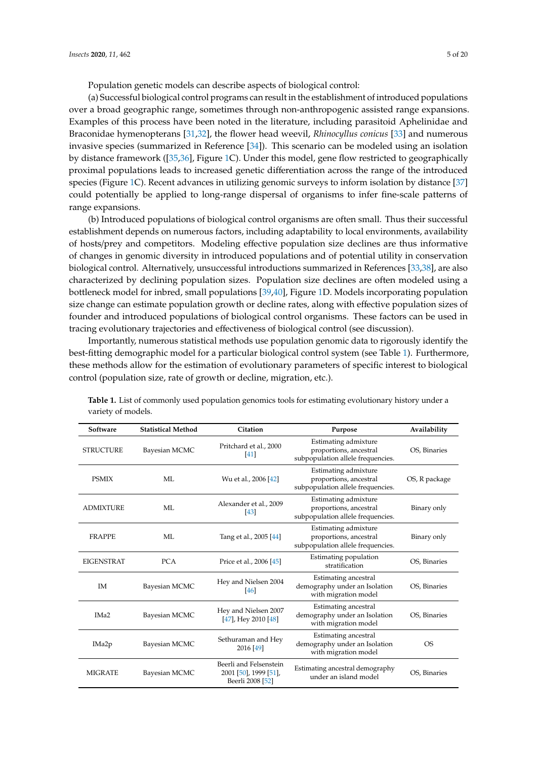Population genetic models can describe aspects of biological control:

(a) Successful biological control programs can result in the establishment of introduced populations over a broad geographic range, sometimes through non-anthropogenic assisted range expansions. Examples of this process have been noted in the literature, including parasitoid Aphelinidae and Braconidae hymenopterans [\[31,](#page-14-15)[32\]](#page-14-16), the flower head weevil, *Rhinocyllus conicus* [\[33\]](#page-14-17) and numerous invasive species (summarized in Reference [\[34\]](#page-14-18)). This scenario can be modeled using an isolation by distance framework ([\[35](#page-14-19)[,36\]](#page-14-20), Figure [1C](#page-2-0)). Under this model, gene flow restricted to geographically proximal populations leads to increased genetic differentiation across the range of the introduced species (Figure [1C](#page-2-0)). Recent advances in utilizing genomic surveys to inform isolation by distance [\[37\]](#page-14-21) could potentially be applied to long-range dispersal of organisms to infer fine-scale patterns of range expansions.

(b) Introduced populations of biological control organisms are often small. Thus their successful establishment depends on numerous factors, including adaptability to local environments, availability of hosts/prey and competitors. Modeling effective population size declines are thus informative of changes in genomic diversity in introduced populations and of potential utility in conservation biological control. Alternatively, unsuccessful introductions summarized in References [\[33,](#page-14-17)[38\]](#page-14-22), are also characterized by declining population sizes. Population size declines are often modeled using a bottleneck model for inbred, small populations [\[39](#page-14-23)[,40\]](#page-14-24), Figure [1D](#page-2-0). Models incorporating population size change can estimate population growth or decline rates, along with effective population sizes of founder and introduced populations of biological control organisms. These factors can be used in tracing evolutionary trajectories and effectiveness of biological control (see discussion).

Importantly, numerous statistical methods use population genomic data to rigorously identify the best-fitting demographic model for a particular biological control system (see Table [1\)](#page-5-0). Furthermore, these methods allow for the estimation of evolutionary parameters of specific interest to biological control (population size, rate of growth or decline, migration, etc.).

| Software          | <b>Statistical Method</b> | Citation                                                            | Purpose                                                                             | Availability  |
|-------------------|---------------------------|---------------------------------------------------------------------|-------------------------------------------------------------------------------------|---------------|
| <b>STRUCTURE</b>  | Bayesian MCMC             | Pritchard et al., 2000<br>$\left[41\right]$                         | Estimating admixture<br>proportions, ancestral<br>subpopulation allele frequencies. | OS, Binaries  |
| <b>PSMIX</b>      | ML                        | Wu et al., 2006 [42]                                                | Estimating admixture<br>proportions, ancestral<br>subpopulation allele frequencies. | OS, R package |
| <b>ADMIXTURE</b>  | MI.                       | Alexander et al., 2009<br>$\left[43\right]$                         | Estimating admixture<br>proportions, ancestral<br>subpopulation allele frequencies. | Binary only   |
| <b>FRAPPE</b>     | МL                        | Tang et al., 2005 [44]                                              | Estimating admixture<br>proportions, ancestral<br>subpopulation allele frequencies. | Binary only   |
| <b>EIGENSTRAT</b> | <b>PCA</b>                | Price et al., 2006 [45]                                             | Estimating population<br>stratification                                             | OS, Binaries  |
| IM                | Bayesian MCMC             | Hey and Nielsen 2004<br>46                                          | Estimating ancestral<br>demography under an Isolation<br>with migration model       | OS, Binaries  |
| IM <sub>a</sub> 2 | Bayesian MCMC             | Hey and Nielsen 2007<br>$[47]$ , Hey 2010 $[48]$                    | Estimating ancestral<br>demography under an Isolation<br>with migration model       | OS, Binaries  |
| IMa <sub>2p</sub> | Bayesian MCMC             | Sethuraman and Hey<br>2016 [49]                                     | Estimating ancestral<br>demography under an Isolation<br>with migration model       | <b>OS</b>     |
| <b>MIGRATE</b>    | Bayesian MCMC             | Beerli and Felsenstein<br>2001 [50], 1999 [51],<br>Beerli 2008 [52] | Estimating ancestral demography<br>under an island model                            | OS, Binaries  |

**Table 1.** List of commonly used population genomics tools for estimating evolutionary history under a variety of models.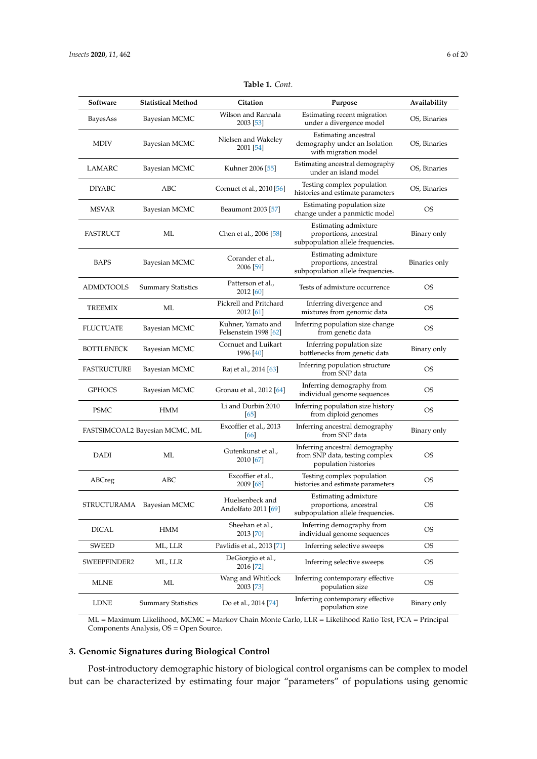<span id="page-5-0"></span>

| Software          | <b>Statistical Method</b>      | Citation                                    | Purpose                                                                                  | Availability  |
|-------------------|--------------------------------|---------------------------------------------|------------------------------------------------------------------------------------------|---------------|
| BayesAss          | Bayesian MCMC                  | Wilson and Rannala<br>2003 [53]             | Estimating recent migration<br>under a divergence model                                  | OS, Binaries  |
| <b>MDIV</b>       | Bayesian MCMC                  | Nielsen and Wakeley<br>2001 [54]            | Estimating ancestral<br>demography under an Isolation<br>with migration model            | OS, Binaries  |
| LAMARC            | Bayesian MCMC                  | Kuhner 2006 [55]                            | Estimating ancestral demography<br>under an island model                                 | OS, Binaries  |
| <b>DIYABC</b>     | ABC                            | Cornuet et al., 2010 [56]                   | Testing complex population<br>histories and estimate parameters                          | OS, Binaries  |
| <b>MSVAR</b>      | Bayesian MCMC                  | Beaumont 2003 [57]                          | Estimating population size<br>change under a panmictic model                             | OS            |
| FASTRUCT          | ML                             | Chen et al., 2006 [58]                      | Estimating admixture<br>proportions, ancestral<br>subpopulation allele frequencies.      | Binary only   |
| BAPS              | Bayesian MCMC                  | Corander et al.,<br>2006 [59]               | Estimating admixture<br>proportions, ancestral<br>subpopulation allele frequencies.      | Binaries only |
| ADMIXTOOLS        | <b>Summary Statistics</b>      | Patterson et al.,<br>2012 [60]              | Tests of admixture occurrence                                                            | <b>OS</b>     |
| TREEMIX           | ML                             | Pickrell and Pritchard<br>2012 [61]         | Inferring divergence and<br>mixtures from genomic data                                   | <b>OS</b>     |
| <b>FLUCTUATE</b>  | Bayesian MCMC                  | Kuhner, Yamato and<br>Felsenstein 1998 [62] | Inferring population size change<br>from genetic data                                    | OS            |
| <b>BOTTLENECK</b> | Bayesian MCMC                  | Cornuet and Luikart<br>1996 [40]            | Inferring population size<br>bottlenecks from genetic data                               | Binary only   |
| FASTRUCTURE       | Bayesian MCMC                  | Raj et al., 2014 [63]                       | Inferring population structure<br>from SNP data                                          | <b>OS</b>     |
| <b>GPHOCS</b>     | Bayesian MCMC                  | Gronau et al., 2012 [64]                    | Inferring demography from<br>individual genome sequences                                 | <b>OS</b>     |
| <b>PSMC</b>       | <b>HMM</b>                     | Li and Durbin 2010<br>[65]                  | Inferring population size history<br>from diploid genomes                                | <b>OS</b>     |
|                   | FASTSIMCOAL2 Bayesian MCMC, ML | Excoffier et al., 2013<br>[66]              | Inferring ancestral demography<br>from SNP data                                          | Binary only   |
| DADI              | МL                             | Gutenkunst et al.,<br>2010 [67]             | Inferring ancestral demography<br>from SNP data, testing complex<br>population histories | OS            |
| ABCreg            | ABC                            | Excoffier et al.,<br>2009 [68]              | Testing complex population<br>histories and estimate parameters                          | <b>OS</b>     |
| STRUCTURAMA       | Bayesian MCMC                  | Huelsenbeck and<br>Andolfato 2011 [69]      | Estimating admixture<br>proportions, ancestral<br>subpopulation allele frequencies.      | OS            |
| DICAL             | HMM                            | Sheehan et al.,<br>2013 [70]                | Inferring demography from<br>individual genome sequences                                 | OS            |
| <b>SWEED</b>      | ML, LLR                        | Pavlidis et al., 2013 [71]                  | Inferring selective sweeps                                                               | OS            |
| SWEEPFINDER2      | ML, LLR                        | DeGiorgio et al.,<br>2016 [72]              | Inferring selective sweeps                                                               | <b>OS</b>     |
| MLNE              | МL                             | Wang and Whitlock<br>2003 [73]              | Inferring contemporary effective<br>population size                                      | OS            |
| LDNE              | <b>Summary Statistics</b>      | Do et al., 2014 [74]                        | Inferring contemporary effective<br>population size                                      | Binary only   |

**Table 1.** *Cont.*

ML = Maximum Likelihood, MCMC = Markov Chain Monte Carlo, LLR = Likelihood Ratio Test, PCA = Principal Components Analysis, OS = Open Source.

## **3. Genomic Signatures during Biological Control**

Post-introductory demographic history of biological control organisms can be complex to model but can be characterized by estimating four major "parameters" of populations using genomic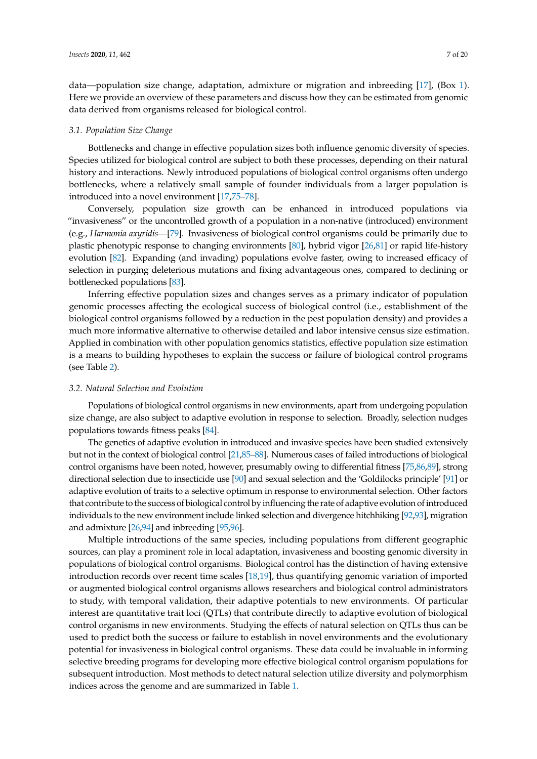data—population size change, adaptation, admixture or migration and inbreeding [\[17\]](#page-14-1), (Box [1\)](#page-3-0). Here we provide an overview of these parameters and discuss how they can be estimated from genomic data derived from organisms released for biological control.

#### *3.1. Population Size Change*

Bottlenecks and change in effective population sizes both influence genomic diversity of species. Species utilized for biological control are subject to both these processes, depending on their natural history and interactions. Newly introduced populations of biological control organisms often undergo bottlenecks, where a relatively small sample of founder individuals from a larger population is introduced into a novel environment [\[17](#page-14-1)[,75–](#page-16-9)[78\]](#page-16-10).

Conversely, population size growth can be enhanced in introduced populations via "invasiveness" or the uncontrolled growth of a population in a non-native (introduced) environment (e.g., *Harmonia axyridis*—[\[79\]](#page-16-11). Invasiveness of biological control organisms could be primarily due to plastic phenotypic response to changing environments [\[80\]](#page-16-12), hybrid vigor [\[26](#page-14-10)[,81\]](#page-16-13) or rapid life-history evolution [\[82\]](#page-16-14). Expanding (and invading) populations evolve faster, owing to increased efficacy of selection in purging deleterious mutations and fixing advantageous ones, compared to declining or bottlenecked populations [\[83\]](#page-16-15).

Inferring effective population sizes and changes serves as a primary indicator of population genomic processes affecting the ecological success of biological control (i.e., establishment of the biological control organisms followed by a reduction in the pest population density) and provides a much more informative alternative to otherwise detailed and labor intensive census size estimation. Applied in combination with other population genomics statistics, effective population size estimation is a means to building hypotheses to explain the success or failure of biological control programs (see Table [2\)](#page-9-0).

#### *3.2. Natural Selection and Evolution*

Populations of biological control organisms in new environments, apart from undergoing population size change, are also subject to adaptive evolution in response to selection. Broadly, selection nudges populations towards fitness peaks [\[84\]](#page-16-16).

The genetics of adaptive evolution in introduced and invasive species have been studied extensively but not in the context of biological control [\[21](#page-14-5)[,85–](#page-16-17)[88\]](#page-16-18). Numerous cases of failed introductions of biological control organisms have been noted, however, presumably owing to differential fitness [\[75](#page-16-9)[,86](#page-16-19)[,89\]](#page-16-20), strong directional selection due to insecticide use [\[90\]](#page-17-0) and sexual selection and the 'Goldilocks principle' [\[91\]](#page-17-1) or adaptive evolution of traits to a selective optimum in response to environmental selection. Other factors that contribute to the success of biological control by influencing the rate of adaptive evolution of introduced individuals to the new environment include linked selection and divergence hitchhiking [\[92,](#page-17-2)[93\]](#page-17-3), migration and admixture [\[26](#page-14-10)[,94\]](#page-17-4) and inbreeding [\[95,](#page-17-5)[96\]](#page-17-6).

Multiple introductions of the same species, including populations from different geographic sources, can play a prominent role in local adaptation, invasiveness and boosting genomic diversity in populations of biological control organisms. Biological control has the distinction of having extensive introduction records over recent time scales [\[18,](#page-14-2)[19\]](#page-14-3), thus quantifying genomic variation of imported or augmented biological control organisms allows researchers and biological control administrators to study, with temporal validation, their adaptive potentials to new environments. Of particular interest are quantitative trait loci (QTLs) that contribute directly to adaptive evolution of biological control organisms in new environments. Studying the effects of natural selection on QTLs thus can be used to predict both the success or failure to establish in novel environments and the evolutionary potential for invasiveness in biological control organisms. These data could be invaluable in informing selective breeding programs for developing more effective biological control organism populations for subsequent introduction. Most methods to detect natural selection utilize diversity and polymorphism indices across the genome and are summarized in Table [1.](#page-5-0)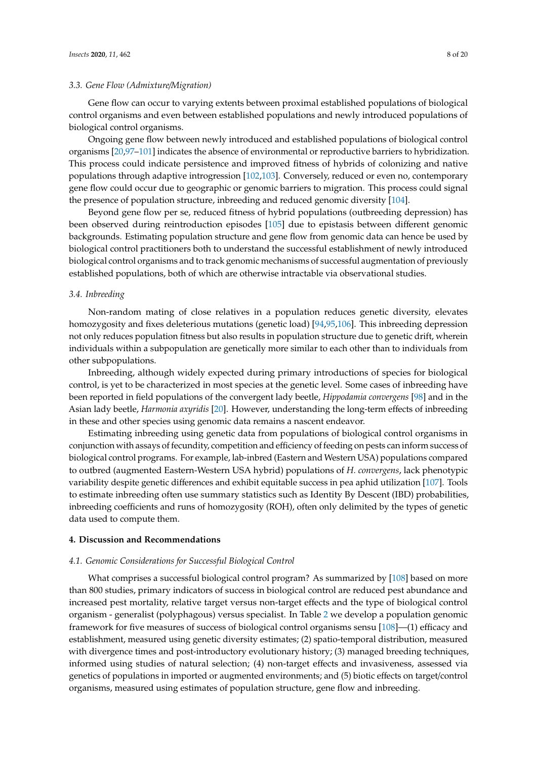#### *3.3. Gene Flow (Admixture*/*Migration)*

Gene flow can occur to varying extents between proximal established populations of biological control organisms and even between established populations and newly introduced populations of biological control organisms.

Ongoing gene flow between newly introduced and established populations of biological control organisms [\[20,](#page-14-4)[97](#page-17-7)[–101\]](#page-17-8) indicates the absence of environmental or reproductive barriers to hybridization. This process could indicate persistence and improved fitness of hybrids of colonizing and native populations through adaptive introgression [\[102](#page-17-9)[,103\]](#page-17-10). Conversely, reduced or even no, contemporary gene flow could occur due to geographic or genomic barriers to migration. This process could signal the presence of population structure, inbreeding and reduced genomic diversity [\[104\]](#page-17-11).

Beyond gene flow per se, reduced fitness of hybrid populations (outbreeding depression) has been observed during reintroduction episodes [\[105\]](#page-17-12) due to epistasis between different genomic backgrounds. Estimating population structure and gene flow from genomic data can hence be used by biological control practitioners both to understand the successful establishment of newly introduced biological control organisms and to track genomic mechanisms of successful augmentation of previously established populations, both of which are otherwise intractable via observational studies.

## *3.4. Inbreeding*

Non-random mating of close relatives in a population reduces genetic diversity, elevates homozygosity and fixes deleterious mutations (genetic load) [\[94](#page-17-4)[,95,](#page-17-5)[106\]](#page-17-13). This inbreeding depression not only reduces population fitness but also results in population structure due to genetic drift, wherein individuals within a subpopulation are genetically more similar to each other than to individuals from other subpopulations.

Inbreeding, although widely expected during primary introductions of species for biological control, is yet to be characterized in most species at the genetic level. Some cases of inbreeding have been reported in field populations of the convergent lady beetle, *Hippodamia convergens* [\[98\]](#page-17-14) and in the Asian lady beetle, *Harmonia axyridis* [\[20\]](#page-14-4). However, understanding the long-term effects of inbreeding in these and other species using genomic data remains a nascent endeavor.

Estimating inbreeding using genetic data from populations of biological control organisms in conjunction with assays of fecundity, competition and efficiency of feeding on pests can inform success of biological control programs. For example, lab-inbred (Eastern and Western USA) populations compared to outbred (augmented Eastern-Western USA hybrid) populations of *H. convergens*, lack phenotypic variability despite genetic differences and exhibit equitable success in pea aphid utilization [\[107\]](#page-17-15). Tools to estimate inbreeding often use summary statistics such as Identity By Descent (IBD) probabilities, inbreeding coefficients and runs of homozygosity (ROH), often only delimited by the types of genetic data used to compute them.

#### **4. Discussion and Recommendations**

#### *4.1. Genomic Considerations for Successful Biological Control*

What comprises a successful biological control program? As summarized by [\[108\]](#page-17-16) based on more than 800 studies, primary indicators of success in biological control are reduced pest abundance and increased pest mortality, relative target versus non-target effects and the type of biological control organism - generalist (polyphagous) versus specialist. In Table [2](#page-9-0) we develop a population genomic framework for five measures of success of biological control organisms sensu [\[108\]](#page-17-16)—(1) efficacy and establishment, measured using genetic diversity estimates; (2) spatio-temporal distribution, measured with divergence times and post-introductory evolutionary history; (3) managed breeding techniques, informed using studies of natural selection; (4) non-target effects and invasiveness, assessed via genetics of populations in imported or augmented environments; and (5) biotic effects on target/control organisms, measured using estimates of population structure, gene flow and inbreeding.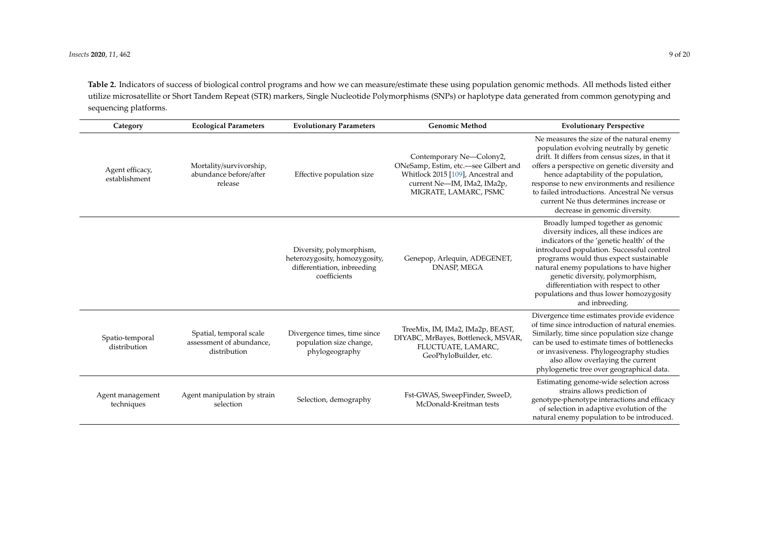**Table 2.** Indicators of success of biological control programs and how we can measure/estimate these using population genomic methods. All methods listed either utilize microsatellite or Short Tandem Repeat (STR) markers, Single Nucleotide Polymorphisms (SNPs) or haplotype data generated from common genotyping and sequencing platforms.

| Category                         | <b>Ecological Parameters</b>                                        | <b>Evolutionary Parameters</b>                                                                           | <b>Genomic Method</b>                                                                                                                                          | <b>Evolutionary Perspective</b>                                                                                                                                                                                                                                                                                                                                                                               |
|----------------------------------|---------------------------------------------------------------------|----------------------------------------------------------------------------------------------------------|----------------------------------------------------------------------------------------------------------------------------------------------------------------|---------------------------------------------------------------------------------------------------------------------------------------------------------------------------------------------------------------------------------------------------------------------------------------------------------------------------------------------------------------------------------------------------------------|
| Agent efficacy,<br>establishment | Mortality/survivorship,<br>abundance before/after<br>release        | Effective population size                                                                                | Contemporary Ne-Colony2,<br>ONeSamp, Estim, etc.-see Gilbert and<br>Whitlock 2015 [109], Ancestral and<br>current Ne-IM, IMa2, IMa2p,<br>MIGRATE, LAMARC, PSMC | Ne measures the size of the natural enemy<br>population evolving neutrally by genetic<br>drift. It differs from census sizes, in that it<br>offers a perspective on genetic diversity and<br>hence adaptability of the population,<br>response to new environments and resilience<br>to failed introductions. Ancestral Ne versus<br>current Ne thus determines increase or<br>decrease in genomic diversity. |
|                                  |                                                                     | Diversity, polymorphism,<br>heterozygosity, homozygosity,<br>differentiation, inbreeding<br>coefficients | Genepop, Arlequin, ADEGENET,<br>DNASP, MEGA                                                                                                                    | Broadly lumped together as genomic<br>diversity indices, all these indices are<br>indicators of the 'genetic health' of the<br>introduced population. Successful control<br>programs would thus expect sustainable<br>natural enemy populations to have higher<br>genetic diversity, polymorphism,<br>differentiation with respect to other<br>populations and thus lower homozygosity<br>and inbreeding.     |
| Spatio-temporal<br>distribution  | Spatial, temporal scale<br>assessment of abundance,<br>distribution | Divergence times, time since<br>population size change,<br>phylogeography                                | TreeMix, IM, IMa2, IMa2p, BEAST,<br>DIYABC, MrBayes, Bottleneck, MSVAR,<br>FLUCTUATE, LAMARC,<br>GeoPhyloBuilder, etc.                                         | Divergence time estimates provide evidence<br>of time since introduction of natural enemies.<br>Similarly, time since population size change<br>can be used to estimate times of bottlenecks<br>or invasiveness. Phylogeography studies<br>also allow overlaying the current<br>phylogenetic tree over geographical data.                                                                                     |
| Agent management<br>techniques   | Agent manipulation by strain<br>selection                           | Selection, demography                                                                                    | Fst-GWAS, SweepFinder, SweeD,<br>McDonald-Kreitman tests                                                                                                       | Estimating genome-wide selection across<br>strains allows prediction of<br>genotype-phenotype interactions and efficacy<br>of selection in adaptive evolution of the<br>natural enemy population to be introduced.                                                                                                                                                                                            |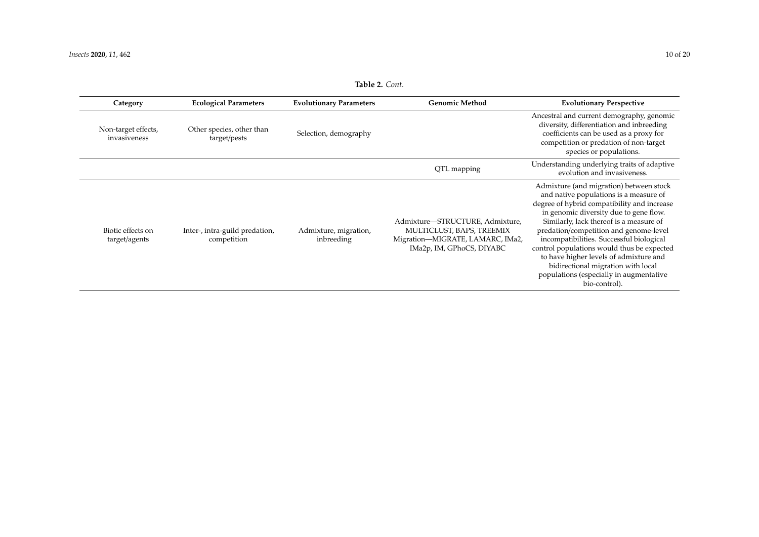<span id="page-9-0"></span>

| Category                            | <b>Ecological Parameters</b>                  | <b>Evolutionary Parameters</b>      | <b>Genomic Method</b>                                                                                                         | <b>Evolutionary Perspective</b>                                                                                                                                                                                                                                                                                                                                                                                                                                                                       |
|-------------------------------------|-----------------------------------------------|-------------------------------------|-------------------------------------------------------------------------------------------------------------------------------|-------------------------------------------------------------------------------------------------------------------------------------------------------------------------------------------------------------------------------------------------------------------------------------------------------------------------------------------------------------------------------------------------------------------------------------------------------------------------------------------------------|
| Non-target effects,<br>invasiveness | Other species, other than<br>target/pests     | Selection, demography               |                                                                                                                               | Ancestral and current demography, genomic<br>diversity, differentiation and inbreeding<br>coefficients can be used as a proxy for<br>competition or predation of non-target<br>species or populations.                                                                                                                                                                                                                                                                                                |
|                                     |                                               |                                     | QTL mapping                                                                                                                   | Understanding underlying traits of adaptive<br>evolution and invasiveness.                                                                                                                                                                                                                                                                                                                                                                                                                            |
| Biotic effects on<br>target/agents  | Inter-, intra-guild predation,<br>competition | Admixture, migration,<br>inbreeding | Admixture-STRUCTURE, Admixture,<br>MULTICLUST, BAPS, TREEMIX<br>Migration-MIGRATE, LAMARC, IMa2,<br>IMa2p, IM, GPhoCS, DIYABC | Admixture (and migration) between stock<br>and native populations is a measure of<br>degree of hybrid compatibility and increase<br>in genomic diversity due to gene flow.<br>Similarly, lack thereof is a measure of<br>predation/competition and genome-level<br>incompatibilities. Successful biological<br>control populations would thus be expected<br>to have higher levels of admixture and<br>bidirectional migration with local<br>populations (especially in augmentative<br>bio-control). |

**Table 2.** *Cont.*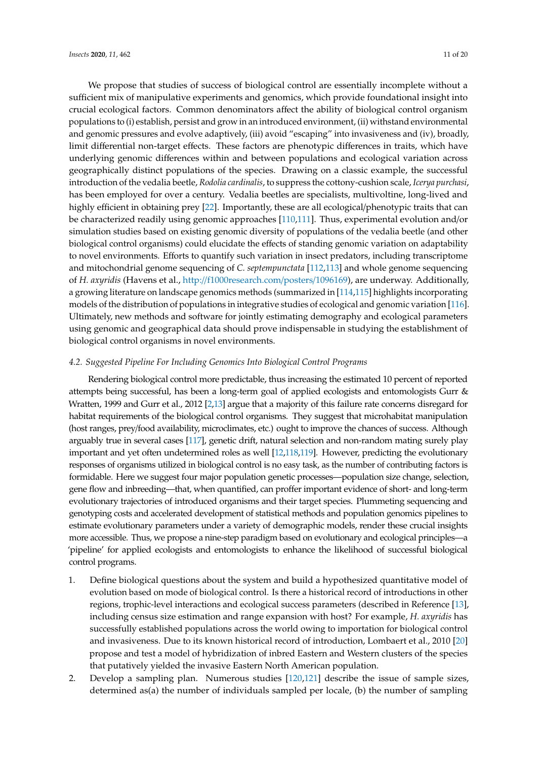We propose that studies of success of biological control are essentially incomplete without a sufficient mix of manipulative experiments and genomics, which provide foundational insight into crucial ecological factors. Common denominators affect the ability of biological control organism populations to (i) establish, persist and grow in an introduced environment, (ii) withstand environmental and genomic pressures and evolve adaptively, (iii) avoid "escaping" into invasiveness and (iv), broadly, limit differential non-target effects. These factors are phenotypic differences in traits, which have underlying genomic differences within and between populations and ecological variation across geographically distinct populations of the species. Drawing on a classic example, the successful introduction of the vedalia beetle, *Rodolia cardinalis*, to suppress the cottony-cushion scale, *Icerya purchasi*, has been employed for over a century. Vedalia beetles are specialists, multivoltine, long-lived and highly efficient in obtaining prey [\[22\]](#page-14-6). Importantly, these are all ecological/phenotypic traits that can be characterized readily using genomic approaches [\[110](#page-17-18)[,111\]](#page-17-19). Thus, experimental evolution and/or simulation studies based on existing genomic diversity of populations of the vedalia beetle (and other biological control organisms) could elucidate the effects of standing genomic variation on adaptability to novel environments. Efforts to quantify such variation in insect predators, including transcriptome and mitochondrial genome sequencing of *C. septempunctata* [\[112,](#page-18-0)[113\]](#page-18-1) and whole genome sequencing of *H. axyridis* (Havens et al., http://[f1000research.com](http://f1000research.com/posters/1096169)/posters/1096169), are underway. Additionally, a growing literature on landscape genomics methods (summarized in [\[114,](#page-18-2)[115\]](#page-18-3) highlights incorporating models of the distribution of populations in integrative studies of ecological and genomic variation [\[116\]](#page-18-4). Ultimately, new methods and software for jointly estimating demography and ecological parameters using genomic and geographical data should prove indispensable in studying the establishment of biological control organisms in novel environments.

#### *4.2. Suggested Pipeline For Including Genomics Into Biological Control Programs*

Rendering biological control more predictable, thus increasing the estimated 10 percent of reported attempts being successful, has been a long-term goal of applied ecologists and entomologists Gurr & Wratten, 1999 and Gurr et al., 2012 [\[2](#page-13-12)[,13\]](#page-13-9) argue that a majority of this failure rate concerns disregard for habitat requirements of the biological control organisms. They suggest that microhabitat manipulation (host ranges, prey/food availability, microclimates, etc.) ought to improve the chances of success. Although arguably true in several cases [\[117\]](#page-18-5), genetic drift, natural selection and non-random mating surely play important and yet often undetermined roles as well [\[12,](#page-13-8)[118,](#page-18-6)[119\]](#page-18-7). However, predicting the evolutionary responses of organisms utilized in biological control is no easy task, as the number of contributing factors is formidable. Here we suggest four major population genetic processes—population size change, selection, gene flow and inbreeding—that, when quantified, can proffer important evidence of short- and long-term evolutionary trajectories of introduced organisms and their target species. Plummeting sequencing and genotyping costs and accelerated development of statistical methods and population genomics pipelines to estimate evolutionary parameters under a variety of demographic models, render these crucial insights more accessible. Thus, we propose a nine-step paradigm based on evolutionary and ecological principles—a 'pipeline' for applied ecologists and entomologists to enhance the likelihood of successful biological control programs.

- 1. Define biological questions about the system and build a hypothesized quantitative model of evolution based on mode of biological control. Is there a historical record of introductions in other regions, trophic-level interactions and ecological success parameters (described in Reference [\[13\]](#page-13-9), including census size estimation and range expansion with host? For example, *H. axyridis* has successfully established populations across the world owing to importation for biological control and invasiveness. Due to its known historical record of introduction, Lombaert et al., 2010 [\[20\]](#page-14-4) propose and test a model of hybridization of inbred Eastern and Western clusters of the species that putatively yielded the invasive Eastern North American population.
- 2. Develop a sampling plan. Numerous studies [\[120,](#page-18-8)[121\]](#page-18-9) describe the issue of sample sizes, determined as(a) the number of individuals sampled per locale, (b) the number of sampling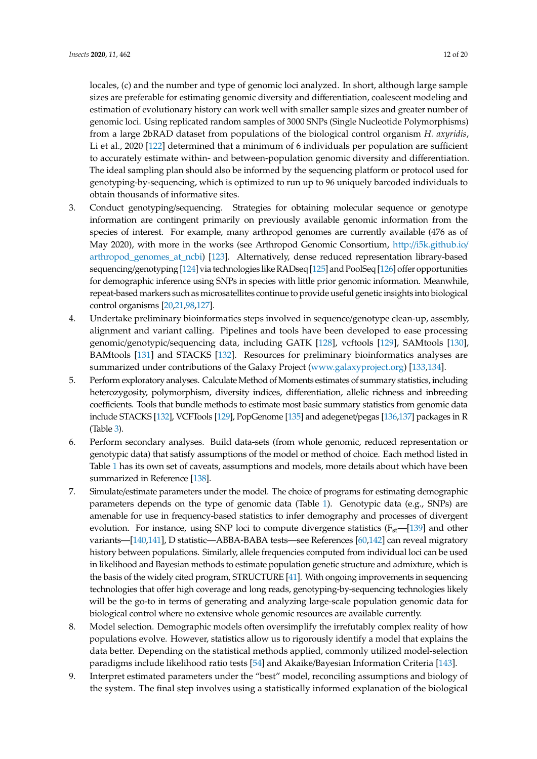locales, (c) and the number and type of genomic loci analyzed. In short, although large sample sizes are preferable for estimating genomic diversity and differentiation, coalescent modeling and estimation of evolutionary history can work well with smaller sample sizes and greater number of genomic loci. Using replicated random samples of 3000 SNPs (Single Nucleotide Polymorphisms) from a large 2bRAD dataset from populations of the biological control organism *H. axyridis*, Li et al., 2020 [\[122\]](#page-18-10) determined that a minimum of 6 individuals per population are sufficient to accurately estimate within- and between-population genomic diversity and differentiation. The ideal sampling plan should also be informed by the sequencing platform or protocol used for genotyping-by-sequencing, which is optimized to run up to 96 uniquely barcoded individuals to obtain thousands of informative sites.

- 3. Conduct genotyping/sequencing. Strategies for obtaining molecular sequence or genotype information are contingent primarily on previously available genomic information from the species of interest. For example, many arthropod genomes are currently available (476 as of May 2020), with more in the works (see Arthropod Genomic Consortium, http://[i5k.github.io](http://i5k.github.io/arthropod_genomes_at_ncbi)/ [arthropod\\_genomes\\_at\\_ncbi\)](http://i5k.github.io/arthropod_genomes_at_ncbi) [\[123\]](#page-18-11). Alternatively, dense reduced representation library-based sequencing/genotyping [\[124\]](#page-18-12) via technologieslike RADseq [\[125\]](#page-18-13) and PoolSeq [\[126\]](#page-18-14) offer opportunities for demographic inference using SNPs in species with little prior genomic information. Meanwhile, repeat-based markers such as microsatellites continue to provide useful genetic insights into biological control organisms [\[20,](#page-14-4)[21,](#page-14-5)[98,](#page-17-14)[127\]](#page-18-15).
- 4. Undertake preliminary bioinformatics steps involved in sequence/genotype clean-up, assembly, alignment and variant calling. Pipelines and tools have been developed to ease processing genomic/genotypic/sequencing data, including GATK [\[128\]](#page-18-16), vcftools [\[129\]](#page-18-17), SAMtools [\[130\]](#page-18-18), BAMtools [\[131\]](#page-18-19) and STACKS [\[132\]](#page-18-20). Resources for preliminary bioinformatics analyses are summarized under contributions of the Galaxy Project [\(www.galaxyproject.org\)](www.galaxyproject.org) [\[133](#page-18-21)[,134\]](#page-18-22).
- 5. Perform exploratory analyses. Calculate Method of Moments estimates of summary statistics, including heterozygosity, polymorphism, diversity indices, differentiation, allelic richness and inbreeding coefficients. Tools that bundle methods to estimate most basic summary statistics from genomic data include STACKS [\[132\]](#page-18-20), VCFTools [\[129\]](#page-18-17), PopGenome [\[135\]](#page-18-23) and adegenet/pegas [\[136](#page-19-0)[,137\]](#page-19-1) packages in R (Table [3\)](#page-12-0).
- 6. Perform secondary analyses. Build data-sets (from whole genomic, reduced representation or genotypic data) that satisfy assumptions of the model or method of choice. Each method listed in Table [1](#page-5-0) has its own set of caveats, assumptions and models, more details about which have been summarized in Reference [\[138\]](#page-19-2).
- 7. Simulate/estimate parameters under the model. The choice of programs for estimating demographic parameters depends on the type of genomic data (Table [1\)](#page-5-0). Genotypic data (e.g., SNPs) are amenable for use in frequency-based statistics to infer demography and processes of divergent evolution. For instance, using SNP loci to compute divergence statistics  $(F<sub>st</sub>–[139]$  $(F<sub>st</sub>–[139]$  and other variants—[\[140](#page-19-4)[,141\]](#page-19-5), D statistic—ABBA-BABA tests—see References [\[60](#page-15-19)[,142\]](#page-19-6) can reveal migratory history between populations. Similarly, allele frequencies computed from individual loci can be used in likelihood and Bayesian methods to estimate population genetic structure and admixture, which is the basis of the widely cited program, STRUCTURE [\[41\]](#page-15-0). With ongoing improvements in sequencing technologies that offer high coverage and long reads, genotyping-by-sequencing technologies likely will be the go-to in terms of generating and analyzing large-scale population genomic data for biological control where no extensive whole genomic resources are available currently.
- 8. Model selection. Demographic models often oversimplify the irrefutably complex reality of how populations evolve. However, statistics allow us to rigorously identify a model that explains the data better. Depending on the statistical methods applied, commonly utilized model-selection paradigms include likelihood ratio tests [\[54\]](#page-15-13) and Akaike/Bayesian Information Criteria [\[143\]](#page-19-7).
- 9. Interpret estimated parameters under the "best" model, reconciling assumptions and biology of the system. The final step involves using a statistically informed explanation of the biological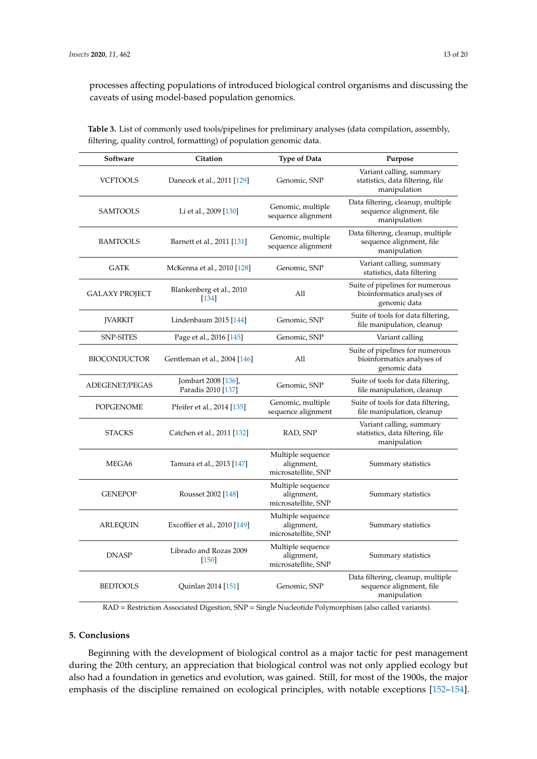processes affecting populations of introduced biological control organisms and discussing the caveats of using model-based population genomics.

| Software            | Citation                                  | <b>Type of Data</b>                                    | Purpose                                                                       |
|---------------------|-------------------------------------------|--------------------------------------------------------|-------------------------------------------------------------------------------|
| <b>VCFTOOLS</b>     | Danecek et al., 2011 [129]                | Genomic, SNP                                           | Variant calling, summary<br>statistics, data filtering, file<br>manipulation  |
| SAMTOOLS            | Li et al., 2009 [130]                     | Genomic, multiple<br>sequence alignment                | Data filtering, cleanup, multiple<br>sequence alignment, file<br>manipulation |
| <b>BAMTOOLS</b>     | Barnett et al., 2011 [131]                | Genomic, multiple<br>sequence alignment                | Data filtering, cleanup, multiple<br>sequence alignment, file<br>manipulation |
| <b>GATK</b>         | McKenna et al., 2010 [128]                | Genomic, SNP                                           | Variant calling, summary<br>statistics, data filtering                        |
| GALAXY PROJECT      | Blankenberg et al., 2010<br>[134]         | All                                                    | Suite of pipelines for numerous<br>bioinformatics analyses of<br>genomic data |
| <b>JVARKIT</b>      | Lindenbaum 2015 [144]                     | Genomic, SNP                                           | Suite of tools for data filtering,<br>file manipulation, cleanup              |
| <b>SNP-SITES</b>    | Page et al., 2016 [145]                   | Genomic, SNP                                           | Variant calling                                                               |
| <b>BIOCONDUCTOR</b> | Gentleman et al., 2004 [146]              | All                                                    | Suite of pipelines for numerous<br>bioinformatics analyses of<br>genomic data |
| ADEGENET/PEGAS      | Jombart 2008 [136],<br>Paradis 2010 [137] | Genomic, SNP                                           | Suite of tools for data filtering,<br>file manipulation, cleanup              |
| <b>POPGENOME</b>    | Pfeifer et al., 2014 [135]                | Genomic, multiple<br>sequence alignment                | Suite of tools for data filtering,<br>file manipulation, cleanup              |
| <b>STACKS</b>       | Catchen et al., 2011 [132]                | RAD, SNP                                               | Variant calling, summary<br>statistics, data filtering, file<br>manipulation  |
| MEGA6               | Tamura et al., 2013 [147]                 | Multiple sequence<br>alignment,<br>microsatellite, SNP | Summary statistics                                                            |
| <b>GENEPOP</b>      | Rousset 2002 [148]                        | Multiple sequence<br>alignment,<br>microsatellite, SNP | Summary statistics                                                            |
| <b>ARLEQUIN</b>     | Excoffier et al., 2010 [149]              | Multiple sequence<br>alignment,<br>microsatellite, SNP | Summary statistics                                                            |
| <b>DNASP</b>        | Librado and Rozas 2009<br>$[150]$         | Multiple sequence<br>alignment,<br>microsatellite, SNP | Summary statistics                                                            |
| <b>BEDTOOLS</b>     | Quinlan 2014 [151]                        | Genomic, SNP                                           | Data filtering, cleanup, multiple<br>sequence alignment, file<br>manipulation |

<span id="page-12-0"></span>**Table 3.** List of commonly used tools/pipelines for preliminary analyses (data compilation, assembly, filtering, quality control, formatting) of population genomic data.

RAD = Restriction Associated Digestion, SNP = Single Nucleotide Polymorphism (also called variants).

## **5. Conclusions**

Beginning with the development of biological control as a major tactic for pest management during the 20th century, an appreciation that biological control was not only applied ecology but also had a foundation in genetics and evolution, was gained. Still, for most of the 1900s, the major emphasis of the discipline remained on ecological principles, with notable exceptions [\[152–](#page-19-16)[154\]](#page-19-17).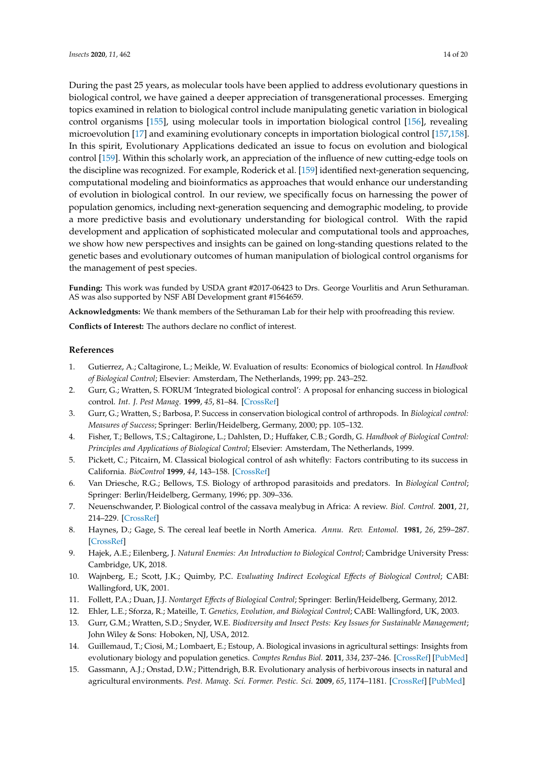In this spirit, Evolutionary Applications dedicated an issue to focus on evolution and biological control [\[159\]](#page-19-22). Within this scholarly work, an appreciation of the influence of new cutting-edge tools on the discipline was recognized. For example, Roderick et al. [\[159\]](#page-19-22) identified next-generation sequencing, computational modeling and bioinformatics as approaches that would enhance our understanding of evolution in biological control. In our review, we specifically focus on harnessing the power of population genomics, including next-generation sequencing and demographic modeling, to provide a more predictive basis and evolutionary understanding for biological control. With the rapid development and application of sophisticated molecular and computational tools and approaches, we show how new perspectives and insights can be gained on long-standing questions related to the genetic bases and evolutionary outcomes of human manipulation of biological control organisms for the management of pest species.

**Funding:** This work was funded by USDA grant #2017-06423 to Drs. George Vourlitis and Arun Sethuraman. AS was also supported by NSF ABI Development grant #1564659.

**Acknowledgments:** We thank members of the Sethuraman Lab for their help with proofreading this review.

**Conflicts of Interest:** The authors declare no conflict of interest.

#### **References**

- <span id="page-13-0"></span>1. Gutierrez, A.; Caltagirone, L.; Meikle, W. Evaluation of results: Economics of biological control. In *Handbook of Biological Control*; Elsevier: Amsterdam, The Netherlands, 1999; pp. 243–252.
- <span id="page-13-12"></span>2. Gurr, G.; Wratten, S. FORUM 'Integrated biological control': A proposal for enhancing success in biological control. *Int. J. Pest Manag.* **1999**, *45*, 81–84. [\[CrossRef\]](http://dx.doi.org/10.1080/096708799227851)
- <span id="page-13-1"></span>3. Gurr, G.; Wratten, S.; Barbosa, P. Success in conservation biological control of arthropods. In *Biological control: Measures of Success*; Springer: Berlin/Heidelberg, Germany, 2000; pp. 105–132.
- <span id="page-13-2"></span>4. Fisher, T.; Bellows, T.S.; Caltagirone, L.; Dahlsten, D.; Huffaker, C.B.; Gordh, G. *Handbook of Biological Control: Principles and Applications of Biological Control*; Elsevier: Amsterdam, The Netherlands, 1999.
- <span id="page-13-3"></span>5. Pickett, C.; Pitcairn, M. Classical biological control of ash whitefly: Factors contributing to its success in California. *BioControl* **1999**, *44*, 143–158. [\[CrossRef\]](http://dx.doi.org/10.1023/A:1009907826562)
- <span id="page-13-11"></span>6. Van Driesche, R.G.; Bellows, T.S. Biology of arthropod parasitoids and predators. In *Biological Control*; Springer: Berlin/Heidelberg, Germany, 1996; pp. 309–336.
- 7. Neuenschwander, P. Biological control of the cassava mealybug in Africa: A review. *Biol. Control.* **2001**, *21*, 214–229. [\[CrossRef\]](http://dx.doi.org/10.1006/bcon.2001.0937)
- <span id="page-13-4"></span>8. Haynes, D.; Gage, S. The cereal leaf beetle in North America. *Annu. Rev. Entomol.* **1981**, *26*, 259–287. [\[CrossRef\]](http://dx.doi.org/10.1146/annurev.en.26.010181.001355)
- <span id="page-13-5"></span>9. Hajek, A.E.; Eilenberg, J. *Natural Enemies: An Introduction to Biological Control*; Cambridge University Press: Cambridge, UK, 2018.
- <span id="page-13-6"></span>10. Wajnberg, E.; Scott, J.K.; Quimby, P.C. *Evaluating Indirect Ecological E*ff*ects of Biological Control*; CABI: Wallingford, UK, 2001.
- <span id="page-13-7"></span>11. Follett, P.A.; Duan, J.J. *Nontarget E*ff*ects of Biological Control*; Springer: Berlin/Heidelberg, Germany, 2012.
- <span id="page-13-8"></span>12. Ehler, L.E.; Sforza, R.; Mateille, T. *Genetics, Evolution, and Biological Control*; CABI: Wallingford, UK, 2003.
- <span id="page-13-9"></span>13. Gurr, G.M.; Wratten, S.D.; Snyder, W.E. *Biodiversity and Insect Pests: Key Issues for Sustainable Management*; John Wiley & Sons: Hoboken, NJ, USA, 2012.
- <span id="page-13-10"></span>14. Guillemaud, T.; Ciosi, M.; Lombaert, E.; Estoup, A. Biological invasions in agricultural settings: Insights from evolutionary biology and population genetics. *Comptes Rendus Biol.* **2011**, *334*, 237–246. [\[CrossRef\]](http://dx.doi.org/10.1016/j.crvi.2010.12.008) [\[PubMed\]](http://www.ncbi.nlm.nih.gov/pubmed/21377619)
- 15. Gassmann, A.J.; Onstad, D.W.; Pittendrigh, B.R. Evolutionary analysis of herbivorous insects in natural and agricultural environments. *Pest. Manag. Sci. Former. Pestic. Sci.* **2009**, *65*, 1174–1181. [\[CrossRef\]](http://dx.doi.org/10.1002/ps.1844) [\[PubMed\]](http://www.ncbi.nlm.nih.gov/pubmed/19757500)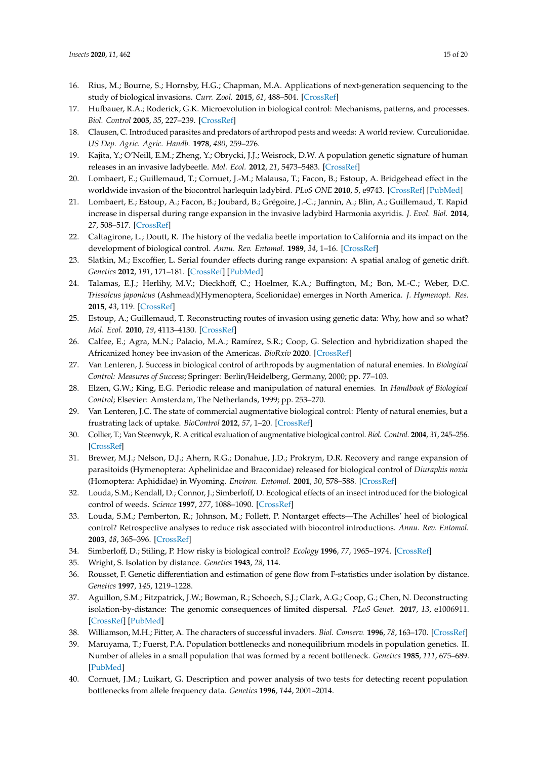- <span id="page-14-0"></span>16. Rius, M.; Bourne, S.; Hornsby, H.G.; Chapman, M.A. Applications of next-generation sequencing to the study of biological invasions. *Curr. Zool.* **2015**, *61*, 488–504. [\[CrossRef\]](http://dx.doi.org/10.1093/czoolo/61.3.488)
- <span id="page-14-1"></span>17. Hufbauer, R.A.; Roderick, G.K. Microevolution in biological control: Mechanisms, patterns, and processes. *Biol. Control* **2005**, *35*, 227–239. [\[CrossRef\]](http://dx.doi.org/10.1016/j.biocontrol.2005.04.004)
- <span id="page-14-2"></span>18. Clausen, C. Introduced parasites and predators of arthropod pests and weeds: A world review. Curculionidae. *US Dep. Agric. Agric. Handb.* **1978**, *480*, 259–276.
- <span id="page-14-3"></span>19. Kajita, Y.; O'Neill, E.M.; Zheng, Y.; Obrycki, J.J.; Weisrock, D.W. A population genetic signature of human releases in an invasive ladybeetle. *Mol. Ecol.* **2012**, *21*, 5473–5483. [\[CrossRef\]](http://dx.doi.org/10.1111/mec.12059)
- <span id="page-14-4"></span>20. Lombaert, E.; Guillemaud, T.; Cornuet, J.-M.; Malausa, T.; Facon, B.; Estoup, A. Bridgehead effect in the worldwide invasion of the biocontrol harlequin ladybird. *PLoS ONE* **2010**, *5*, e9743. [\[CrossRef\]](http://dx.doi.org/10.1371/journal.pone.0009743) [\[PubMed\]](http://www.ncbi.nlm.nih.gov/pubmed/20305822)
- <span id="page-14-5"></span>21. Lombaert, E.; Estoup, A.; Facon, B.; Joubard, B.; Grégoire, J.-C.; Jannin, A.; Blin, A.; Guillemaud, T. Rapid increase in dispersal during range expansion in the invasive ladybird Harmonia axyridis. *J. Evol. Biol.* **2014**, *27*, 508–517. [\[CrossRef\]](http://dx.doi.org/10.1111/jeb.12316)
- <span id="page-14-6"></span>22. Caltagirone, L.; Doutt, R. The history of the vedalia beetle importation to California and its impact on the development of biological control. *Annu. Rev. Entomol.* **1989**, *34*, 1–16. [\[CrossRef\]](http://dx.doi.org/10.1146/annurev.en.34.010189.000245)
- <span id="page-14-7"></span>23. Slatkin, M.; Excoffier, L. Serial founder effects during range expansion: A spatial analog of genetic drift. *Genetics* **2012**, *191*, 171–181. [\[CrossRef\]](http://dx.doi.org/10.1534/genetics.112.139022) [\[PubMed\]](http://www.ncbi.nlm.nih.gov/pubmed/22367031)
- <span id="page-14-8"></span>24. Talamas, E.J.; Herlihy, M.V.; Dieckhoff, C.; Hoelmer, K.A.; Buffington, M.; Bon, M.-C.; Weber, D.C. *Trissolcus japonicus* (Ashmead)(Hymenoptera, Scelionidae) emerges in North America. *J. Hymenopt. Res.* **2015**, *43*, 119. [\[CrossRef\]](http://dx.doi.org/10.3897/JHR.43.4661)
- <span id="page-14-9"></span>25. Estoup, A.; Guillemaud, T. Reconstructing routes of invasion using genetic data: Why, how and so what? *Mol. Ecol.* **2010**, *19*, 4113–4130. [\[CrossRef\]](http://dx.doi.org/10.1111/j.1365-294X.2010.04773.x)
- <span id="page-14-10"></span>26. Calfee, E.; Agra, M.N.; Palacio, M.A.; Ramírez, S.R.; Coop, G. Selection and hybridization shaped the Africanized honey bee invasion of the Americas. *BioRxiv* **2020**. [\[CrossRef\]](http://dx.doi.org/10.1101/2020.03.17.994632)
- <span id="page-14-11"></span>27. Van Lenteren, J. Success in biological control of arthropods by augmentation of natural enemies. In *Biological Control: Measures of Success*; Springer: Berlin/Heidelberg, Germany, 2000; pp. 77–103.
- <span id="page-14-12"></span>28. Elzen, G.W.; King, E.G. Periodic release and manipulation of natural enemies. In *Handbook of Biological Control*; Elsevier: Amsterdam, The Netherlands, 1999; pp. 253–270.
- <span id="page-14-13"></span>29. Van Lenteren, J.C. The state of commercial augmentative biological control: Plenty of natural enemies, but a frustrating lack of uptake. *BioControl* **2012**, *57*, 1–20. [\[CrossRef\]](http://dx.doi.org/10.1007/s10526-011-9395-1)
- <span id="page-14-14"></span>30. Collier, T.; Van Steenwyk, R. A critical evaluation of augmentative biological control. *Biol. Control.* **2004**, *31*, 245–256. [\[CrossRef\]](http://dx.doi.org/10.1016/j.biocontrol.2004.05.001)
- <span id="page-14-15"></span>31. Brewer, M.J.; Nelson, D.J.; Ahern, R.G.; Donahue, J.D.; Prokrym, D.R. Recovery and range expansion of parasitoids (Hymenoptera: Aphelinidae and Braconidae) released for biological control of *Diuraphis noxia* (Homoptera: Aphididae) in Wyoming. *Environ. Entomol.* **2001**, *30*, 578–588. [\[CrossRef\]](http://dx.doi.org/10.1603/0046-225X-30.3.578)
- <span id="page-14-16"></span>32. Louda, S.M.; Kendall, D.; Connor, J.; Simberloff, D. Ecological effects of an insect introduced for the biological control of weeds. *Science* **1997**, *277*, 1088–1090. [\[CrossRef\]](http://dx.doi.org/10.1126/science.277.5329.1088)
- <span id="page-14-17"></span>33. Louda, S.M.; Pemberton, R.; Johnson, M.; Follett, P. Nontarget effects—The Achilles' heel of biological control? Retrospective analyses to reduce risk associated with biocontrol introductions. *Annu. Rev. Entomol.* **2003**, *48*, 365–396. [\[CrossRef\]](http://dx.doi.org/10.1146/annurev.ento.48.060402.102800)
- <span id="page-14-18"></span>34. Simberloff, D.; Stiling, P. How risky is biological control? *Ecology* **1996**, *77*, 1965–1974. [\[CrossRef\]](http://dx.doi.org/10.2307/2265693)
- <span id="page-14-19"></span>35. Wright, S. Isolation by distance. *Genetics* **1943**, *28*, 114.
- <span id="page-14-20"></span>36. Rousset, F. Genetic differentiation and estimation of gene flow from F-statistics under isolation by distance. *Genetics* **1997**, *145*, 1219–1228.
- <span id="page-14-21"></span>37. Aguillon, S.M.; Fitzpatrick, J.W.; Bowman, R.; Schoech, S.J.; Clark, A.G.; Coop, G.; Chen, N. Deconstructing isolation-by-distance: The genomic consequences of limited dispersal. *PLoS Genet.* **2017**, *13*, e1006911. [\[CrossRef\]](http://dx.doi.org/10.1371/journal.pgen.1006911) [\[PubMed\]](http://www.ncbi.nlm.nih.gov/pubmed/28771477)
- <span id="page-14-22"></span>38. Williamson, M.H.; Fitter, A. The characters of successful invaders. *Biol. Conserv.* **1996**, *78*, 163–170. [\[CrossRef\]](http://dx.doi.org/10.1016/0006-3207(96)00025-0)
- <span id="page-14-23"></span>39. Maruyama, T.; Fuerst, P.A. Population bottlenecks and nonequilibrium models in population genetics. II. Number of alleles in a small population that was formed by a recent bottleneck. *Genetics* **1985**, *111*, 675–689. [\[PubMed\]](http://www.ncbi.nlm.nih.gov/pubmed/4054612)
- <span id="page-14-24"></span>40. Cornuet, J.M.; Luikart, G. Description and power analysis of two tests for detecting recent population bottlenecks from allele frequency data. *Genetics* **1996**, *144*, 2001–2014.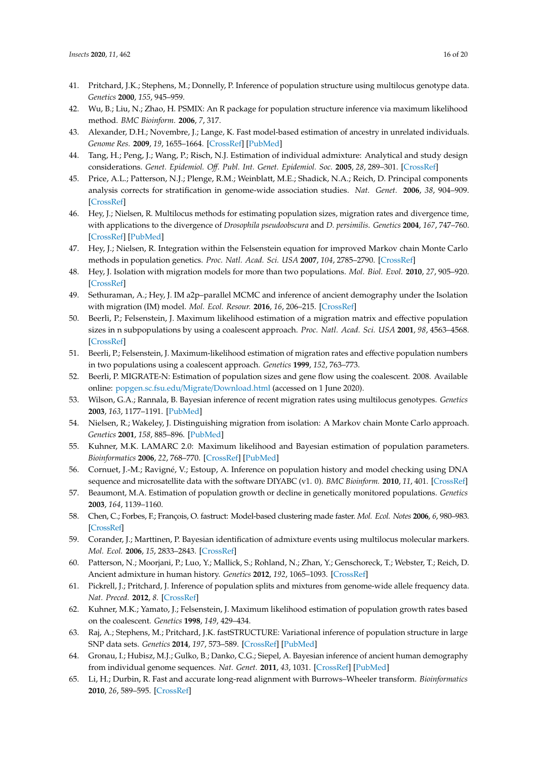- <span id="page-15-0"></span>41. Pritchard, J.K.; Stephens, M.; Donnelly, P. Inference of population structure using multilocus genotype data. *Genetics* **2000**, *155*, 945–959.
- <span id="page-15-1"></span>42. Wu, B.; Liu, N.; Zhao, H. PSMIX: An R package for population structure inference via maximum likelihood method. *BMC Bioinform.* **2006**, *7*, 317.
- <span id="page-15-2"></span>43. Alexander, D.H.; Novembre, J.; Lange, K. Fast model-based estimation of ancestry in unrelated individuals. *Genome Res.* **2009**, *19*, 1655–1664. [\[CrossRef\]](http://dx.doi.org/10.1101/gr.094052.109) [\[PubMed\]](http://www.ncbi.nlm.nih.gov/pubmed/19648217)
- <span id="page-15-3"></span>44. Tang, H.; Peng, J.; Wang, P.; Risch, N.J. Estimation of individual admixture: Analytical and study design considerations. *Genet. Epidemiol. O*ff*. Publ. Int. Genet. Epidemiol. Soc.* **2005**, *28*, 289–301. [\[CrossRef\]](http://dx.doi.org/10.1002/gepi.20064)
- <span id="page-15-4"></span>45. Price, A.L.; Patterson, N.J.; Plenge, R.M.; Weinblatt, M.E.; Shadick, N.A.; Reich, D. Principal components analysis corrects for stratification in genome-wide association studies. *Nat. Genet.* **2006**, *38*, 904–909. [\[CrossRef\]](http://dx.doi.org/10.1038/ng1847)
- <span id="page-15-5"></span>46. Hey, J.; Nielsen, R. Multilocus methods for estimating population sizes, migration rates and divergence time, with applications to the divergence of *Drosophila pseudoobscura* and *D. persimilis*. *Genetics* **2004**, *167*, 747–760. [\[CrossRef\]](http://dx.doi.org/10.1534/genetics.103.024182) [\[PubMed\]](http://www.ncbi.nlm.nih.gov/pubmed/15238526)
- <span id="page-15-6"></span>47. Hey, J.; Nielsen, R. Integration within the Felsenstein equation for improved Markov chain Monte Carlo methods in population genetics. *Proc. Natl. Acad. Sci. USA* **2007**, *104*, 2785–2790. [\[CrossRef\]](http://dx.doi.org/10.1073/pnas.0611164104)
- <span id="page-15-7"></span>48. Hey, J. Isolation with migration models for more than two populations. *Mol. Biol. Evol.* **2010**, *27*, 905–920. [\[CrossRef\]](http://dx.doi.org/10.1093/molbev/msp296)
- <span id="page-15-8"></span>49. Sethuraman, A.; Hey, J. IM a2p–parallel MCMC and inference of ancient demography under the Isolation with migration (IM) model. *Mol. Ecol. Resour.* **2016**, *16*, 206–215. [\[CrossRef\]](http://dx.doi.org/10.1111/1755-0998.12437)
- <span id="page-15-9"></span>50. Beerli, P.; Felsenstein, J. Maximum likelihood estimation of a migration matrix and effective population sizes in n subpopulations by using a coalescent approach. *Proc. Natl. Acad. Sci. USA* **2001**, *98*, 4563–4568. [\[CrossRef\]](http://dx.doi.org/10.1073/pnas.081068098)
- <span id="page-15-10"></span>51. Beerli, P.; Felsenstein, J. Maximum-likelihood estimation of migration rates and effective population numbers in two populations using a coalescent approach. *Genetics* **1999**, *152*, 763–773.
- <span id="page-15-11"></span>52. Beerli, P. MIGRATE-N: Estimation of population sizes and gene flow using the coalescent. 2008. Available online: [popgen.sc.fsu.edu](popgen.sc.fsu.edu/Migrate/Download.html)/Migrate/Download.html (accessed on 1 June 2020).
- <span id="page-15-12"></span>53. Wilson, G.A.; Rannala, B. Bayesian inference of recent migration rates using multilocus genotypes. *Genetics* **2003**, *163*, 1177–1191. [\[PubMed\]](http://www.ncbi.nlm.nih.gov/pubmed/12663554)
- <span id="page-15-13"></span>54. Nielsen, R.; Wakeley, J. Distinguishing migration from isolation: A Markov chain Monte Carlo approach. *Genetics* **2001**, *158*, 885–896. [\[PubMed\]](http://www.ncbi.nlm.nih.gov/pubmed/11404349)
- <span id="page-15-14"></span>55. Kuhner, M.K. LAMARC 2.0: Maximum likelihood and Bayesian estimation of population parameters. *Bioinformatics* **2006**, *22*, 768–770. [\[CrossRef\]](http://dx.doi.org/10.1093/bioinformatics/btk051) [\[PubMed\]](http://www.ncbi.nlm.nih.gov/pubmed/16410317)
- <span id="page-15-15"></span>56. Cornuet, J.-M.; Ravigné, V.; Estoup, A. Inference on population history and model checking using DNA sequence and microsatellite data with the software DIYABC (v1. 0). *BMC Bioinform.* **2010**, *11*, 401. [\[CrossRef\]](http://dx.doi.org/10.1186/1471-2105-11-401)
- <span id="page-15-16"></span>57. Beaumont, M.A. Estimation of population growth or decline in genetically monitored populations. *Genetics* **2003**, *164*, 1139–1160.
- <span id="page-15-17"></span>58. Chen, C.; Forbes, F.; François, O. fastruct: Model-based clustering made faster. *Mol. Ecol. Notes* **2006**, *6*, 980–983. [\[CrossRef\]](http://dx.doi.org/10.1111/j.1471-8286.2006.01527.x)
- <span id="page-15-18"></span>59. Corander, J.; Marttinen, P. Bayesian identification of admixture events using multilocus molecular markers. *Mol. Ecol.* **2006**, *15*, 2833–2843. [\[CrossRef\]](http://dx.doi.org/10.1111/j.1365-294X.2006.02994.x)
- <span id="page-15-19"></span>60. Patterson, N.; Moorjani, P.; Luo, Y.; Mallick, S.; Rohland, N.; Zhan, Y.; Genschoreck, T.; Webster, T.; Reich, D. Ancient admixture in human history. *Genetics* **2012**, *192*, 1065–1093. [\[CrossRef\]](http://dx.doi.org/10.1534/genetics.112.145037)
- <span id="page-15-20"></span>61. Pickrell, J.; Pritchard, J. Inference of population splits and mixtures from genome-wide allele frequency data. *Nat. Preced.* **2012**, *8*. [\[CrossRef\]](http://dx.doi.org/10.1371/journal.pgen.1002967)
- <span id="page-15-21"></span>62. Kuhner, M.K.; Yamato, J.; Felsenstein, J. Maximum likelihood estimation of population growth rates based on the coalescent. *Genetics* **1998**, *149*, 429–434.
- <span id="page-15-22"></span>63. Raj, A.; Stephens, M.; Pritchard, J.K. fastSTRUCTURE: Variational inference of population structure in large SNP data sets. *Genetics* **2014**, *197*, 573–589. [\[CrossRef\]](http://dx.doi.org/10.1534/genetics.114.164350) [\[PubMed\]](http://www.ncbi.nlm.nih.gov/pubmed/24700103)
- <span id="page-15-23"></span>64. Gronau, I.; Hubisz, M.J.; Gulko, B.; Danko, C.G.; Siepel, A. Bayesian inference of ancient human demography from individual genome sequences. *Nat. Genet.* **2011**, *43*, 1031. [\[CrossRef\]](http://dx.doi.org/10.1038/ng.937) [\[PubMed\]](http://www.ncbi.nlm.nih.gov/pubmed/21926973)
- <span id="page-15-24"></span>65. Li, H.; Durbin, R. Fast and accurate long-read alignment with Burrows–Wheeler transform. *Bioinformatics* **2010**, *26*, 589–595. [\[CrossRef\]](http://dx.doi.org/10.1093/bioinformatics/btp698)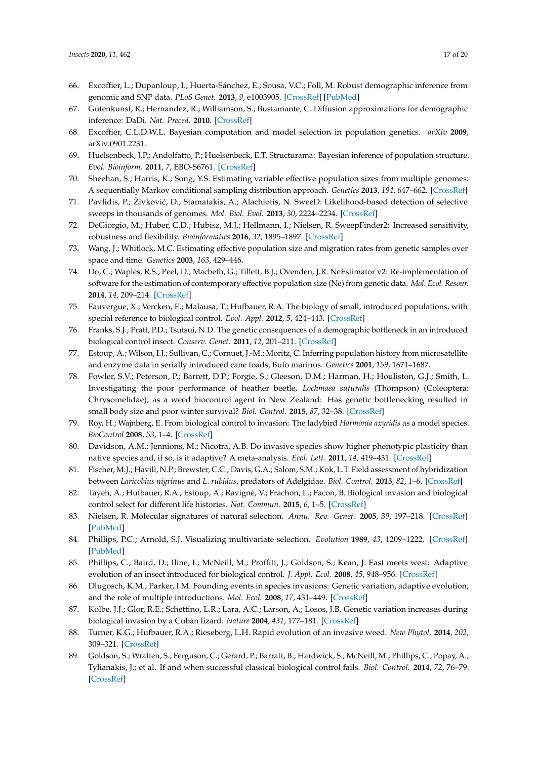- <span id="page-16-0"></span>66. Excoffier, L.; Dupanloup, I.; Huerta-Sánchez, E.; Sousa, V.C.; Foll, M. Robust demographic inference from genomic and SNP data. *PLoS Genet.* **2013**, *9*, e1003905. [\[CrossRef\]](http://dx.doi.org/10.1371/journal.pgen.1003905) [\[PubMed\]](http://www.ncbi.nlm.nih.gov/pubmed/24204310)
- <span id="page-16-1"></span>67. Gutenkunst, R.; Hernandez, R.; Williamson, S.; Bustamante, C. Diffusion approximations for demographic inference: DaDi. *Nat. Preced.* **2010**. [\[CrossRef\]](http://dx.doi.org/10.1038/npre.2010.4594.1)
- <span id="page-16-2"></span>68. Excoffier, C.L.D.W.L. Bayesian computation and model selection in population genetics. *arXiv* **2009**, arXiv:0901.2231.
- <span id="page-16-3"></span>69. Huelsenbeck, J.P.; Andolfatto, P.; Huelsenbeck, E.T. Structurama: Bayesian inference of population structure. *Evol. Bioinform.* **2011**, *7*, EBO-S6761. [\[CrossRef\]](http://dx.doi.org/10.4137/EBO.S6761)
- <span id="page-16-4"></span>70. Sheehan, S.; Harris, K.; Song, Y.S. Estimating variable effective population sizes from multiple genomes: A sequentially Markov conditional sampling distribution approach. *Genetics* **2013**, *194*, 647–662. [\[CrossRef\]](http://dx.doi.org/10.1534/genetics.112.149096)
- <span id="page-16-5"></span>71. Pavlidis, P.; Živković, D.; Stamatakis, A.; Alachiotis, N. SweeD: Likelihood-based detection of selective sweeps in thousands of genomes. *Mol. Biol. Evol.* **2013**, *30*, 2224–2234. [\[CrossRef\]](http://dx.doi.org/10.1093/molbev/mst112)
- <span id="page-16-6"></span>72. DeGiorgio, M.; Huber, C.D.; Hubisz, M.J.; Hellmann, I.; Nielsen, R. SweepFinder2: Increased sensitivity, robustness and flexibility. *Bioinformatics* **2016**, *32*, 1895–1897. [\[CrossRef\]](http://dx.doi.org/10.1093/bioinformatics/btw051)
- <span id="page-16-7"></span>73. Wang, J.; Whitlock, M.C. Estimating effective population size and migration rates from genetic samples over space and time. *Genetics* **2003**, *163*, 429–446.
- <span id="page-16-8"></span>74. Do, C.; Waples, R.S.; Peel, D.; Macbeth, G.; Tillett, B.J.; Ovenden, J.R. NeEstimator v2: Re-implementation of software for the estimation of contemporary effective population size (Ne) from genetic data. *Mol. Ecol. Resour.* **2014**, *14*, 209–214. [\[CrossRef\]](http://dx.doi.org/10.1111/1755-0998.12157)
- <span id="page-16-9"></span>75. Fauvergue, X.; Vercken, E.; Malausa, T.; Hufbauer, R.A. The biology of small, introduced populations, with special reference to biological control. *Evol. Appl.* **2012**, *5*, 424–443. [\[CrossRef\]](http://dx.doi.org/10.1111/j.1752-4571.2012.00272.x)
- 76. Franks, S.J.; Pratt, P.D.; Tsutsui, N.D. The genetic consequences of a demographic bottleneck in an introduced biological control insect. *Conserv. Genet.* **2011**, *12*, 201–211. [\[CrossRef\]](http://dx.doi.org/10.1007/s10592-010-0133-5)
- 77. Estoup, A.; Wilson, I.J.; Sullivan, C.; Cornuet, J.-M.; Moritz, C. Inferring population history from microsatellite and enzyme data in serially introduced cane toads, Bufo marinus. *Genetics* **2001**, *159*, 1671–1687.
- <span id="page-16-10"></span>78. Fowler, S.V.; Peterson, P.; Barrett, D.P.; Forgie, S.; Gleeson, D.M.; Harman, H.; Houliston, G.J.; Smith, L. Investigating the poor performance of heather beetle, *Lochmaea suturalis* (Thompson) (Coleoptera: Chrysomelidae), as a weed biocontrol agent in New Zealand: Has genetic bottlenecking resulted in small body size and poor winter survival? *Biol. Control.* **2015**, *87*, 32–38. [\[CrossRef\]](http://dx.doi.org/10.1016/j.biocontrol.2015.04.015)
- <span id="page-16-11"></span>79. Roy, H.; Wajnberg, E. From biological control to invasion: The ladybird *Harmonia axyridis* as a model species. *BioControl* **2008**, *53*, 1–4. [\[CrossRef\]](http://dx.doi.org/10.1007/s10526-007-9127-8)
- <span id="page-16-12"></span>80. Davidson, A.M.; Jennions, M.; Nicotra, A.B. Do invasive species show higher phenotypic plasticity than native species and, if so, is it adaptive? A meta-analysis. *Ecol. Lett.* **2011**, *14*, 419–431. [\[CrossRef\]](http://dx.doi.org/10.1111/j.1461-0248.2011.01596.x)
- <span id="page-16-13"></span>81. Fischer, M.J.; Havill, N.P.; Brewster, C.C.; Davis, G.A.; Salom, S.M.; Kok, L.T. Field assessment of hybridization between *Laricobius nigrinus* and *L*. *rubidus*, predators of Adelgidae. *Biol. Control.* **2015**, *82*, 1–6. [\[CrossRef\]](http://dx.doi.org/10.1016/j.biocontrol.2014.12.002)
- <span id="page-16-14"></span>82. Tayeh, A.; Hufbauer, R.A.; Estoup, A.; Ravigné, V.; Frachon, L.; Facon, B. Biological invasion and biological control select for different life histories. *Nat. Commun.* **2015**, *6*, 1–5. [\[CrossRef\]](http://dx.doi.org/10.1038/ncomms8268)
- <span id="page-16-15"></span>83. Nielsen, R. Molecular signatures of natural selection. *Annu. Rev. Genet.* **2005**, *39*, 197–218. [\[CrossRef\]](http://dx.doi.org/10.1146/annurev.genet.39.073003.112420) [\[PubMed\]](http://www.ncbi.nlm.nih.gov/pubmed/16285858)
- <span id="page-16-16"></span>84. Phillips, P.C.; Arnold, S.J. Visualizing multivariate selection. *Evolution* **1989**, *43*, 1209–1222. [\[CrossRef\]](http://dx.doi.org/10.1111/j.1558-5646.1989.tb02569.x) [\[PubMed\]](http://www.ncbi.nlm.nih.gov/pubmed/28564514)
- <span id="page-16-17"></span>85. Phillips, C.; Baird, D.; Iline, I.; McNeill, M.; Proffitt, J.; Goldson, S.; Kean, J. East meets west: Adaptive evolution of an insect introduced for biological control. *J. Appl. Ecol.* **2008**, *45*, 948–956. [\[CrossRef\]](http://dx.doi.org/10.1111/j.1365-2664.2008.01461.x)
- <span id="page-16-19"></span>86. Dlugosch, K.M.; Parker, I.M. Founding events in species invasions: Genetic variation, adaptive evolution, and the role of multiple introductions. *Mol. Ecol.* **2008**, *17*, 431–449. [\[CrossRef\]](http://dx.doi.org/10.1111/j.1365-294X.2007.03538.x)
- 87. Kolbe, J.J.; Glor, R.E.; Schettino, L.R.; Lara, A.C.; Larson, A.; Losos, J.B. Genetic variation increases during biological invasion by a Cuban lizard. *Nature* **2004**, *431*, 177–181. [\[CrossRef\]](http://dx.doi.org/10.1038/nature02807)
- <span id="page-16-18"></span>88. Turner, K.G.; Hufbauer, R.A.; Rieseberg, L.H. Rapid evolution of an invasive weed. *New Phytol.* **2014**, *202*, 309–321. [\[CrossRef\]](http://dx.doi.org/10.1111/nph.12634)
- <span id="page-16-20"></span>89. Goldson, S.; Wratten, S.; Ferguson, C.; Gerard, P.; Barratt, B.; Hardwick, S.; McNeill, M.; Phillips, C.; Popay, A.; Tylianakis, J.; et al. If and when successful classical biological control fails. *Biol. Control.* **2014**, *72*, 76–79. [\[CrossRef\]](http://dx.doi.org/10.1016/j.biocontrol.2014.02.012)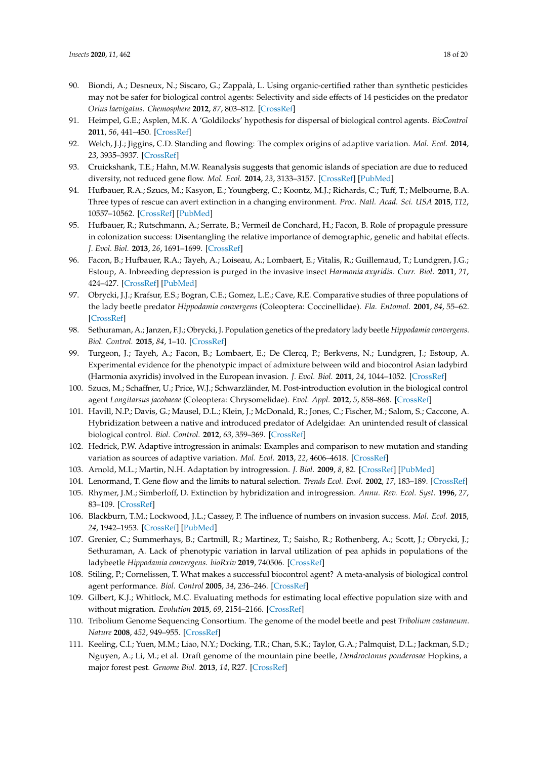- <span id="page-17-0"></span>90. Biondi, A.; Desneux, N.; Siscaro, G.; Zappalà, L. Using organic-certified rather than synthetic pesticides may not be safer for biological control agents: Selectivity and side effects of 14 pesticides on the predator *Orius laevigatus*. *Chemosphere* **2012**, *87*, 803–812. [\[CrossRef\]](http://dx.doi.org/10.1016/j.chemosphere.2011.12.082)
- <span id="page-17-1"></span>91. Heimpel, G.E.; Asplen, M.K. A 'Goldilocks' hypothesis for dispersal of biological control agents. *BioControl* **2011**, *56*, 441–450. [\[CrossRef\]](http://dx.doi.org/10.1007/s10526-011-9381-7)
- <span id="page-17-2"></span>92. Welch, J.J.; Jiggins, C.D. Standing and flowing: The complex origins of adaptive variation. *Mol. Ecol.* **2014**, *23*, 3935–3937. [\[CrossRef\]](http://dx.doi.org/10.1111/mec.12859)
- <span id="page-17-3"></span>93. Cruickshank, T.E.; Hahn, M.W. Reanalysis suggests that genomic islands of speciation are due to reduced diversity, not reduced gene flow. *Mol. Ecol.* **2014**, *23*, 3133–3157. [\[CrossRef\]](http://dx.doi.org/10.1111/mec.12796) [\[PubMed\]](http://www.ncbi.nlm.nih.gov/pubmed/24845075)
- <span id="page-17-4"></span>94. Hufbauer, R.A.; Szucs, M.; Kasyon, E.; Youngberg, C.; Koontz, M.J.; Richards, C.; Tuff, T.; Melbourne, B.A. Three types of rescue can avert extinction in a changing environment. *Proc. Natl. Acad. Sci. USA* **2015**, *112*, 10557–10562. [\[CrossRef\]](http://dx.doi.org/10.1073/pnas.1504732112) [\[PubMed\]](http://www.ncbi.nlm.nih.gov/pubmed/26240320)
- <span id="page-17-5"></span>95. Hufbauer, R.; Rutschmann, A.; Serrate, B.; Vermeil de Conchard, H.; Facon, B. Role of propagule pressure in colonization success: Disentangling the relative importance of demographic, genetic and habitat effects. *J. Evol. Biol.* **2013**, *26*, 1691–1699. [\[CrossRef\]](http://dx.doi.org/10.1111/jeb.12167)
- <span id="page-17-6"></span>96. Facon, B.; Hufbauer, R.A.; Tayeh, A.; Loiseau, A.; Lombaert, E.; Vitalis, R.; Guillemaud, T.; Lundgren, J.G.; Estoup, A. Inbreeding depression is purged in the invasive insect *Harmonia axyridis*. *Curr. Biol.* **2011**, *21*, 424–427. [\[CrossRef\]](http://dx.doi.org/10.1016/j.cub.2011.01.068) [\[PubMed\]](http://www.ncbi.nlm.nih.gov/pubmed/21333536)
- <span id="page-17-7"></span>97. Obrycki, J.J.; Krafsur, E.S.; Bogran, C.E.; Gomez, L.E.; Cave, R.E. Comparative studies of three populations of the lady beetle predator *Hippodamia convergens* (Coleoptera: Coccinellidae). *Fla. Entomol.* **2001**, *84*, 55–62. [\[CrossRef\]](http://dx.doi.org/10.2307/3496663)
- <span id="page-17-14"></span>98. Sethuraman, A.; Janzen, F.J.; Obrycki, J. Population genetics of the predatory lady beetle *Hippodamia convergens*. *Biol. Control.* **2015**, *84*, 1–10. [\[CrossRef\]](http://dx.doi.org/10.1016/j.biocontrol.2015.01.002)
- <span id="page-17-17"></span>99. Turgeon, J.; Tayeh, A.; Facon, B.; Lombaert, E.; De Clercq, P.; Berkvens, N.; Lundgren, J.; Estoup, A. Experimental evidence for the phenotypic impact of admixture between wild and biocontrol Asian ladybird (Harmonia axyridis) involved in the European invasion. *J. Evol. Biol.* **2011**, *24*, 1044–1052. [\[CrossRef\]](http://dx.doi.org/10.1111/j.1420-9101.2011.02234.x)
- 100. Szucs, M.; Schaffner, U.; Price, W.J.; Schwarzländer, M. Post-introduction evolution in the biological control agent *Longitarsus jacobaeae* (Coleoptera: Chrysomelidae). *Evol. Appl.* **2012**, *5*, 858–868. [\[CrossRef\]](http://dx.doi.org/10.1111/j.1752-4571.2012.00264.x)
- <span id="page-17-8"></span>101. Havill, N.P.; Davis, G.; Mausel, D.L.; Klein, J.; McDonald, R.; Jones, C.; Fischer, M.; Salom, S.; Caccone, A. Hybridization between a native and introduced predator of Adelgidae: An unintended result of classical biological control. *Biol. Control.* **2012**, *63*, 359–369. [\[CrossRef\]](http://dx.doi.org/10.1016/j.biocontrol.2012.08.001)
- <span id="page-17-9"></span>102. Hedrick, P.W. Adaptive introgression in animals: Examples and comparison to new mutation and standing variation as sources of adaptive variation. *Mol. Ecol.* **2013**, *22*, 4606–4618. [\[CrossRef\]](http://dx.doi.org/10.1111/mec.12415)
- <span id="page-17-10"></span>103. Arnold, M.L.; Martin, N.H. Adaptation by introgression. *J. Biol.* **2009**, *8*, 82. [\[CrossRef\]](http://dx.doi.org/10.1186/jbiol176) [\[PubMed\]](http://www.ncbi.nlm.nih.gov/pubmed/19833002)
- <span id="page-17-11"></span>104. Lenormand, T. Gene flow and the limits to natural selection. *Trends Ecol. Evol.* **2002**, *17*, 183–189. [\[CrossRef\]](http://dx.doi.org/10.1016/S0169-5347(02)02497-7)
- <span id="page-17-12"></span>105. Rhymer, J.M.; Simberloff, D. Extinction by hybridization and introgression. *Annu. Rev. Ecol. Syst.* **1996**, *27*, 83–109. [\[CrossRef\]](http://dx.doi.org/10.1146/annurev.ecolsys.27.1.83)
- <span id="page-17-13"></span>106. Blackburn, T.M.; Lockwood, J.L.; Cassey, P. The influence of numbers on invasion success. *Mol. Ecol.* **2015**, *24*, 1942–1953. [\[CrossRef\]](http://dx.doi.org/10.1111/mec.13075) [\[PubMed\]](http://www.ncbi.nlm.nih.gov/pubmed/25641210)
- <span id="page-17-15"></span>107. Grenier, C.; Summerhays, B.; Cartmill, R.; Martinez, T.; Saisho, R.; Rothenberg, A.; Scott, J.; Obrycki, J.; Sethuraman, A. Lack of phenotypic variation in larval utilization of pea aphids in populations of the ladybeetle *Hippodamia convergens*. *bioRxiv* **2019**, 740506. [\[CrossRef\]](http://dx.doi.org/10.1101/740506)
- <span id="page-17-16"></span>108. Stiling, P.; Cornelissen, T. What makes a successful biocontrol agent? A meta-analysis of biological control agent performance. *Biol. Control* **2005**, *34*, 236–246. [\[CrossRef\]](http://dx.doi.org/10.1016/j.biocontrol.2005.02.017)
- 109. Gilbert, K.J.; Whitlock, M.C. Evaluating methods for estimating local effective population size with and without migration. *Evolution* **2015**, *69*, 2154–2166. [\[CrossRef\]](http://dx.doi.org/10.1111/evo.12713)
- <span id="page-17-18"></span>110. Tribolium Genome Sequencing Consortium. The genome of the model beetle and pest *Tribolium castaneum*. *Nature* **2008**, *452*, 949–955. [\[CrossRef\]](http://dx.doi.org/10.1038/nature06784)
- <span id="page-17-19"></span>111. Keeling, C.I.; Yuen, M.M.; Liao, N.Y.; Docking, T.R.; Chan, S.K.; Taylor, G.A.; Palmquist, D.L.; Jackman, S.D.; Nguyen, A.; Li, M.; et al. Draft genome of the mountain pine beetle, *Dendroctonus ponderosae* Hopkins, a major forest pest. *Genome Biol.* **2013**, *14*, R27. [\[CrossRef\]](http://dx.doi.org/10.1186/gb-2013-14-3-r27)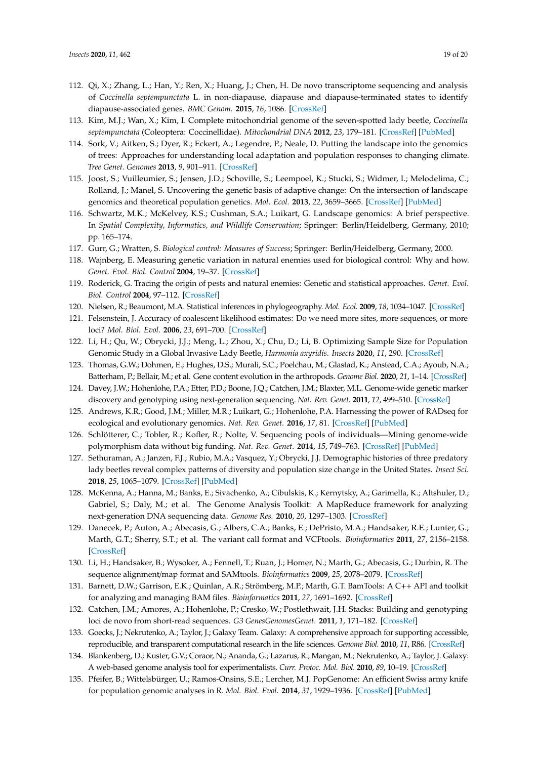- <span id="page-18-0"></span>112. Qi, X.; Zhang, L.; Han, Y.; Ren, X.; Huang, J.; Chen, H. De novo transcriptome sequencing and analysis of *Coccinella septempunctata* L. in non-diapause, diapause and diapause-terminated states to identify diapause-associated genes. *BMC Genom.* **2015**, *16*, 1086. [\[CrossRef\]](http://dx.doi.org/10.1186/s12864-015-2309-3)
- <span id="page-18-1"></span>113. Kim, M.J.; Wan, X.; Kim, I. Complete mitochondrial genome of the seven-spotted lady beetle, *Coccinella septempunctata* (Coleoptera: Coccinellidae). *Mitochondrial DNA* **2012**, *23*, 179–181. [\[CrossRef\]](http://dx.doi.org/10.3109/19401736.2012.668901) [\[PubMed\]](http://www.ncbi.nlm.nih.gov/pubmed/22515209)
- <span id="page-18-2"></span>114. Sork, V.; Aitken, S.; Dyer, R.; Eckert, A.; Legendre, P.; Neale, D. Putting the landscape into the genomics of trees: Approaches for understanding local adaptation and population responses to changing climate. *Tree Genet. Genomes* **2013**, *9*, 901–911. [\[CrossRef\]](http://dx.doi.org/10.1007/s11295-013-0596-x)
- <span id="page-18-3"></span>115. Joost, S.; Vuilleumier, S.; Jensen, J.D.; Schoville, S.; Leempoel, K.; Stucki, S.; Widmer, I.; Melodelima, C.; Rolland, J.; Manel, S. Uncovering the genetic basis of adaptive change: On the intersection of landscape genomics and theoretical population genetics. *Mol. Ecol.* **2013**, *22*, 3659–3665. [\[CrossRef\]](http://dx.doi.org/10.1111/mec.12352) [\[PubMed\]](http://www.ncbi.nlm.nih.gov/pubmed/24003454)
- <span id="page-18-4"></span>116. Schwartz, M.K.; McKelvey, K.S.; Cushman, S.A.; Luikart, G. Landscape genomics: A brief perspective. In *Spatial Complexity, Informatics, and Wildlife Conservation*; Springer: Berlin/Heidelberg, Germany, 2010; pp. 165–174.
- <span id="page-18-5"></span>117. Gurr, G.; Wratten, S. *Biological control: Measures of Success*; Springer: Berlin/Heidelberg, Germany, 2000.
- <span id="page-18-6"></span>118. Wajnberg, E. Measuring genetic variation in natural enemies used for biological control: Why and how. *Genet. Evol. Biol. Control* **2004**, 19–37. [\[CrossRef\]](http://dx.doi.org/10.1079/9780851997353.0019)
- <span id="page-18-7"></span>119. Roderick, G. Tracing the origin of pests and natural enemies: Genetic and statistical approaches. *Genet. Evol. Biol. Control* **2004**, 97–112. [\[CrossRef\]](http://dx.doi.org/10.1079/9780851997353.0097)
- <span id="page-18-9"></span><span id="page-18-8"></span>120. Nielsen, R.; Beaumont, M.A. Statistical inferences in phylogeography. *Mol. Ecol.* **2009**, *18*, 1034–1047. [\[CrossRef\]](http://dx.doi.org/10.1111/j.1365-294X.2008.04059.x)
- 121. Felsenstein, J. Accuracy of coalescent likelihood estimates: Do we need more sites, more sequences, or more loci? *Mol. Biol. Evol.* **2006**, *23*, 691–700. [\[CrossRef\]](http://dx.doi.org/10.1093/molbev/msj079)
- <span id="page-18-10"></span>122. Li, H.; Qu, W.; Obrycki, J.J.; Meng, L.; Zhou, X.; Chu, D.; Li, B. Optimizing Sample Size for Population Genomic Study in a Global Invasive Lady Beetle, *Harmonia axyridis*. *Insects* **2020**, *11*, 290. [\[CrossRef\]](http://dx.doi.org/10.3390/insects11050290)
- <span id="page-18-11"></span>123. Thomas, G.W.; Dohmen, E.; Hughes, D.S.; Murali, S.C.; Poelchau, M.; Glastad, K.; Anstead, C.A.; Ayoub, N.A.; Batterham, P.; Bellair, M.; et al. Gene content evolution in the arthropods. *Genome Biol.* **2020**, *21*, 1–14. [\[CrossRef\]](http://dx.doi.org/10.1186/s13059-019-1925-7)
- <span id="page-18-12"></span>124. Davey, J.W.; Hohenlohe, P.A.; Etter, P.D.; Boone, J.Q.; Catchen, J.M.; Blaxter, M.L. Genome-wide genetic marker discovery and genotyping using next-generation sequencing. *Nat. Rev. Genet.* **2011**, *12*, 499–510. [\[CrossRef\]](http://dx.doi.org/10.1038/nrg3012)
- <span id="page-18-13"></span>125. Andrews, K.R.; Good, J.M.; Miller, M.R.; Luikart, G.; Hohenlohe, P.A. Harnessing the power of RADseq for ecological and evolutionary genomics. *Nat. Rev. Genet.* **2016**, *17*, 81. [\[CrossRef\]](http://dx.doi.org/10.1038/nrg.2015.28) [\[PubMed\]](http://www.ncbi.nlm.nih.gov/pubmed/26729255)
- <span id="page-18-14"></span>126. Schlötterer, C.; Tobler, R.; Kofler, R.; Nolte, V. Sequencing pools of individuals—Mining genome-wide polymorphism data without big funding. *Nat. Rev. Genet.* **2014**, *15*, 749–763. [\[CrossRef\]](http://dx.doi.org/10.1038/nrg3803) [\[PubMed\]](http://www.ncbi.nlm.nih.gov/pubmed/25246196)
- <span id="page-18-15"></span>127. Sethuraman, A.; Janzen, F.J.; Rubio, M.A.; Vasquez, Y.; Obrycki, J.J. Demographic histories of three predatory lady beetles reveal complex patterns of diversity and population size change in the United States. *Insect Sci.* **2018**, *25*, 1065–1079. [\[CrossRef\]](http://dx.doi.org/10.1111/1744-7917.12481) [\[PubMed\]](http://www.ncbi.nlm.nih.gov/pubmed/28503842)
- <span id="page-18-16"></span>128. McKenna, A.; Hanna, M.; Banks, E.; Sivachenko, A.; Cibulskis, K.; Kernytsky, A.; Garimella, K.; Altshuler, D.; Gabriel, S.; Daly, M.; et al. The Genome Analysis Toolkit: A MapReduce framework for analyzing next-generation DNA sequencing data. *Genome Res.* **2010**, *20*, 1297–1303. [\[CrossRef\]](http://dx.doi.org/10.1101/gr.107524.110)
- <span id="page-18-17"></span>129. Danecek, P.; Auton, A.; Abecasis, G.; Albers, C.A.; Banks, E.; DePristo, M.A.; Handsaker, R.E.; Lunter, G.; Marth, G.T.; Sherry, S.T.; et al. The variant call format and VCFtools. *Bioinformatics* **2011**, *27*, 2156–2158. [\[CrossRef\]](http://dx.doi.org/10.1093/bioinformatics/btr330)
- <span id="page-18-18"></span>130. Li, H.; Handsaker, B.; Wysoker, A.; Fennell, T.; Ruan, J.; Homer, N.; Marth, G.; Abecasis, G.; Durbin, R. The sequence alignment/map format and SAMtools. *Bioinformatics* **2009**, *25*, 2078–2079. [\[CrossRef\]](http://dx.doi.org/10.1093/bioinformatics/btp352)
- <span id="page-18-19"></span>131. Barnett, D.W.; Garrison, E.K.; Quinlan, A.R.; Strömberg, M.P.; Marth, G.T. BamTools: A C++ API and toolkit for analyzing and managing BAM files. *Bioinformatics* **2011**, *27*, 1691–1692. [\[CrossRef\]](http://dx.doi.org/10.1093/bioinformatics/btr174)
- <span id="page-18-20"></span>132. Catchen, J.M.; Amores, A.; Hohenlohe, P.; Cresko, W.; Postlethwait, J.H. Stacks: Building and genotyping loci de novo from short-read sequences. *G3 GenesGenomesGenet.* **2011**, *1*, 171–182. [\[CrossRef\]](http://dx.doi.org/10.1534/g3.111.000240)
- <span id="page-18-21"></span>133. Goecks, J.; Nekrutenko, A.; Taylor, J.; Galaxy Team. Galaxy: A comprehensive approach for supporting accessible, reproducible, and transparent computational research in the life sciences. *Genome Biol.* **2010**, *11*, R86. [\[CrossRef\]](http://dx.doi.org/10.1186/gb-2010-11-8-r86)
- <span id="page-18-22"></span>134. Blankenberg, D.; Kuster, G.V.; Coraor, N.; Ananda, G.; Lazarus, R.; Mangan, M.; Nekrutenko, A.; Taylor, J. Galaxy: A web-based genome analysis tool for experimentalists. *Curr. Protoc. Mol. Biol.* **2010**, *89*, 10–19. [\[CrossRef\]](http://dx.doi.org/10.1002/0471142727.mb1910s89)
- <span id="page-18-23"></span>135. Pfeifer, B.; Wittelsbürger, U.; Ramos-Onsins, S.E.; Lercher, M.J. PopGenome: An efficient Swiss army knife for population genomic analyses in R. *Mol. Biol. Evol.* **2014**, *31*, 1929–1936. [\[CrossRef\]](http://dx.doi.org/10.1093/molbev/msu136) [\[PubMed\]](http://www.ncbi.nlm.nih.gov/pubmed/24739305)